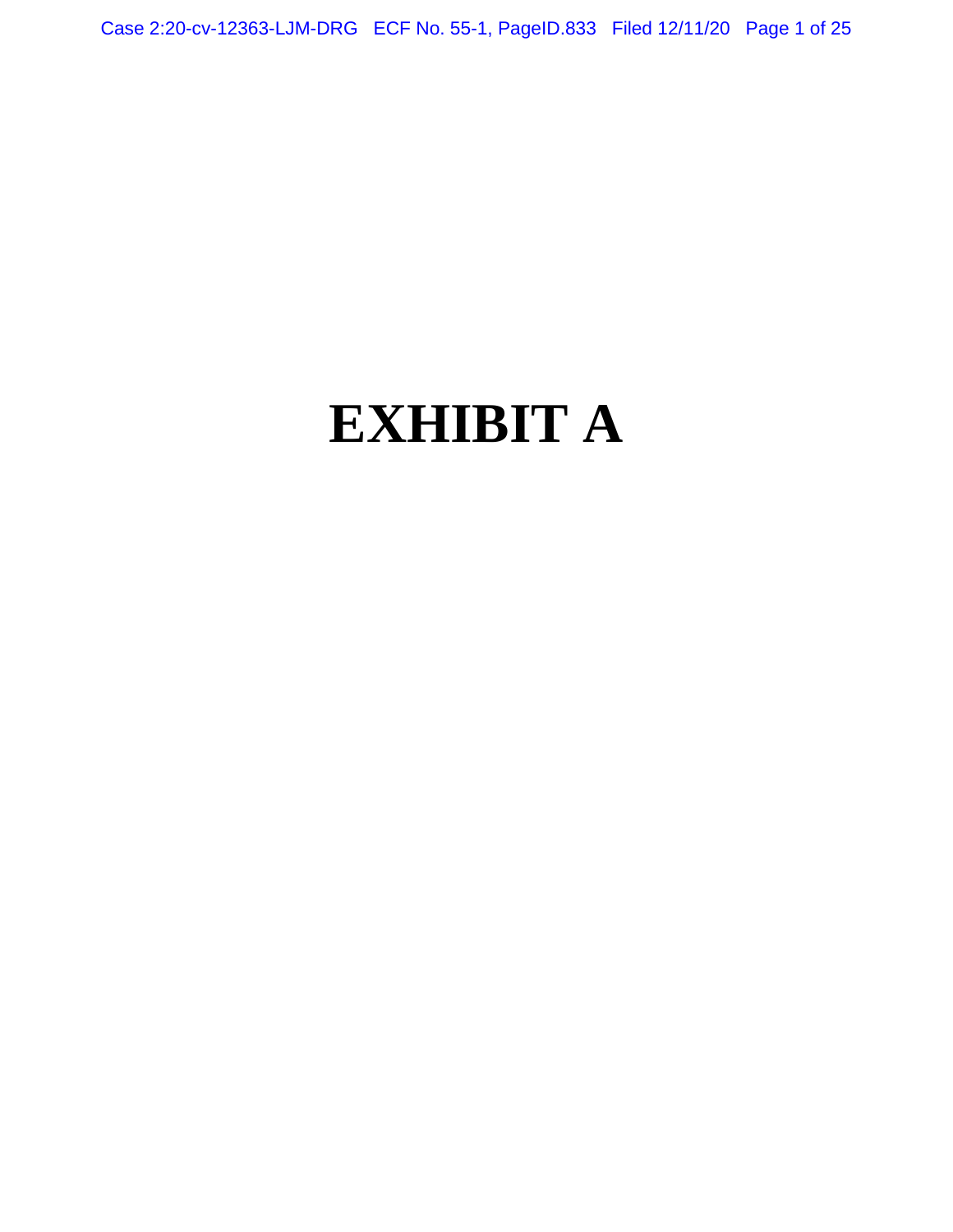Case 2:20-cv-12363-LJM-DRG ECF No. 55-1, PageID.833 Filed 12/11/20 Page 1 of 25

# **EXHIBIT A**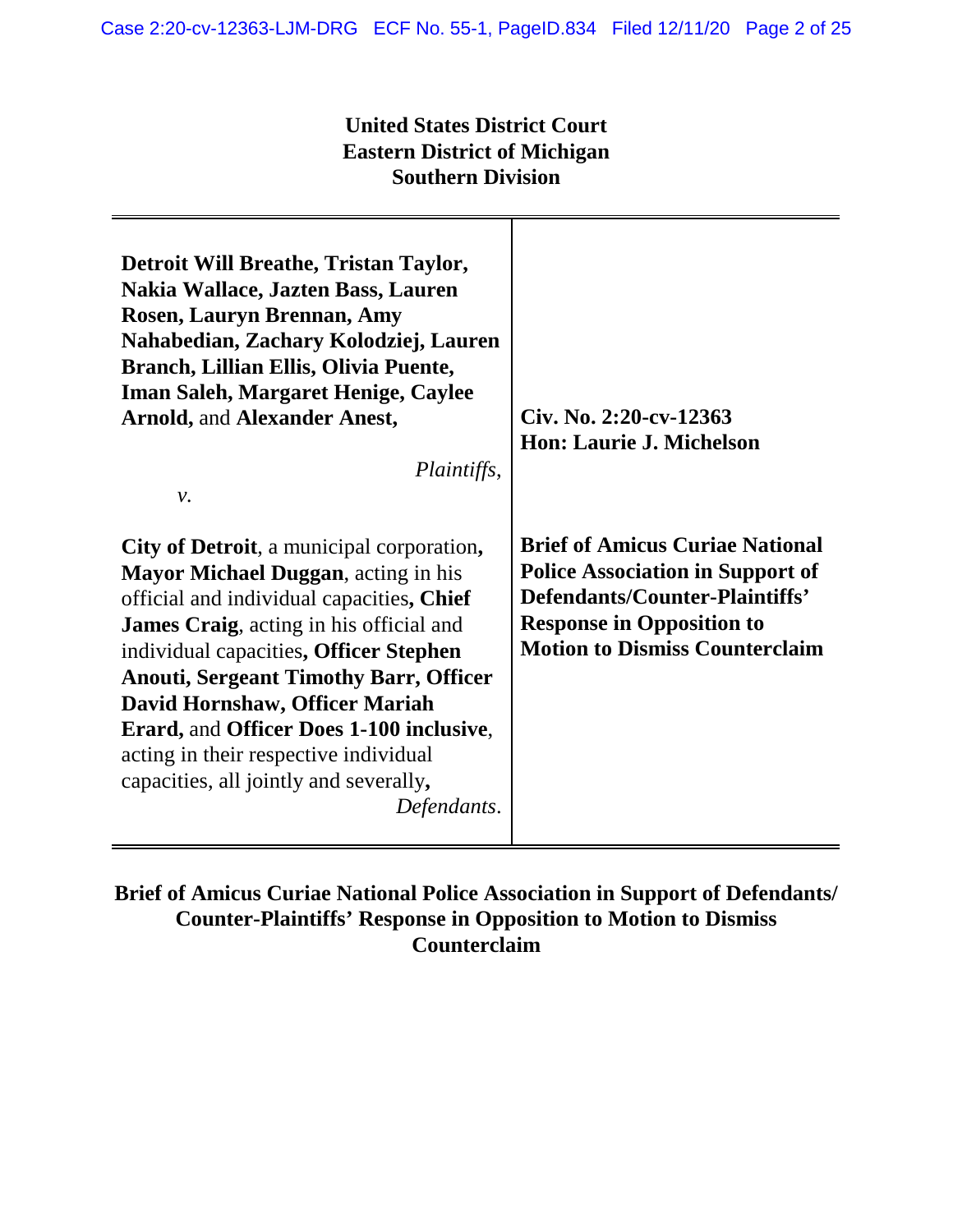## **United States District Court Eastern District of Michigan Southern Division**

| Detroit Will Breathe, Tristan Taylor,<br>Nakia Wallace, Jazten Bass, Lauren<br>Rosen, Lauryn Brennan, Amy<br>Nahabedian, Zachary Kolodziej, Lauren<br>Branch, Lillian Ellis, Olivia Puente,<br><b>Iman Saleh, Margaret Henige, Caylee</b><br><b>Arnold, and Alexander Anest,</b><br>Plaintiffs,<br>ν.                                                                                                                                                                      | Civ. No. 2:20-cv-12363<br><b>Hon: Laurie J. Michelson</b>                                                                                                                                        |
|----------------------------------------------------------------------------------------------------------------------------------------------------------------------------------------------------------------------------------------------------------------------------------------------------------------------------------------------------------------------------------------------------------------------------------------------------------------------------|--------------------------------------------------------------------------------------------------------------------------------------------------------------------------------------------------|
| City of Detroit, a municipal corporation,<br><b>Mayor Michael Duggan</b> , acting in his<br>official and individual capacities, Chief<br><b>James Craig</b> , acting in his official and<br>individual capacities, Officer Stephen<br><b>Anouti, Sergeant Timothy Barr, Officer</b><br>David Hornshaw, Officer Mariah<br><b>Erard, and Officer Does 1-100 inclusive,</b><br>acting in their respective individual<br>capacities, all jointly and severally,<br>Defendants. | <b>Brief of Amicus Curiae National</b><br><b>Police Association in Support of</b><br>Defendants/Counter-Plaintiffs'<br><b>Response in Opposition to</b><br><b>Motion to Dismiss Counterclaim</b> |

**Brief of Amicus Curiae National Police Association in Support of Defendants/ Counter-Plaintiffs' Response in Opposition to Motion to Dismiss Counterclaim**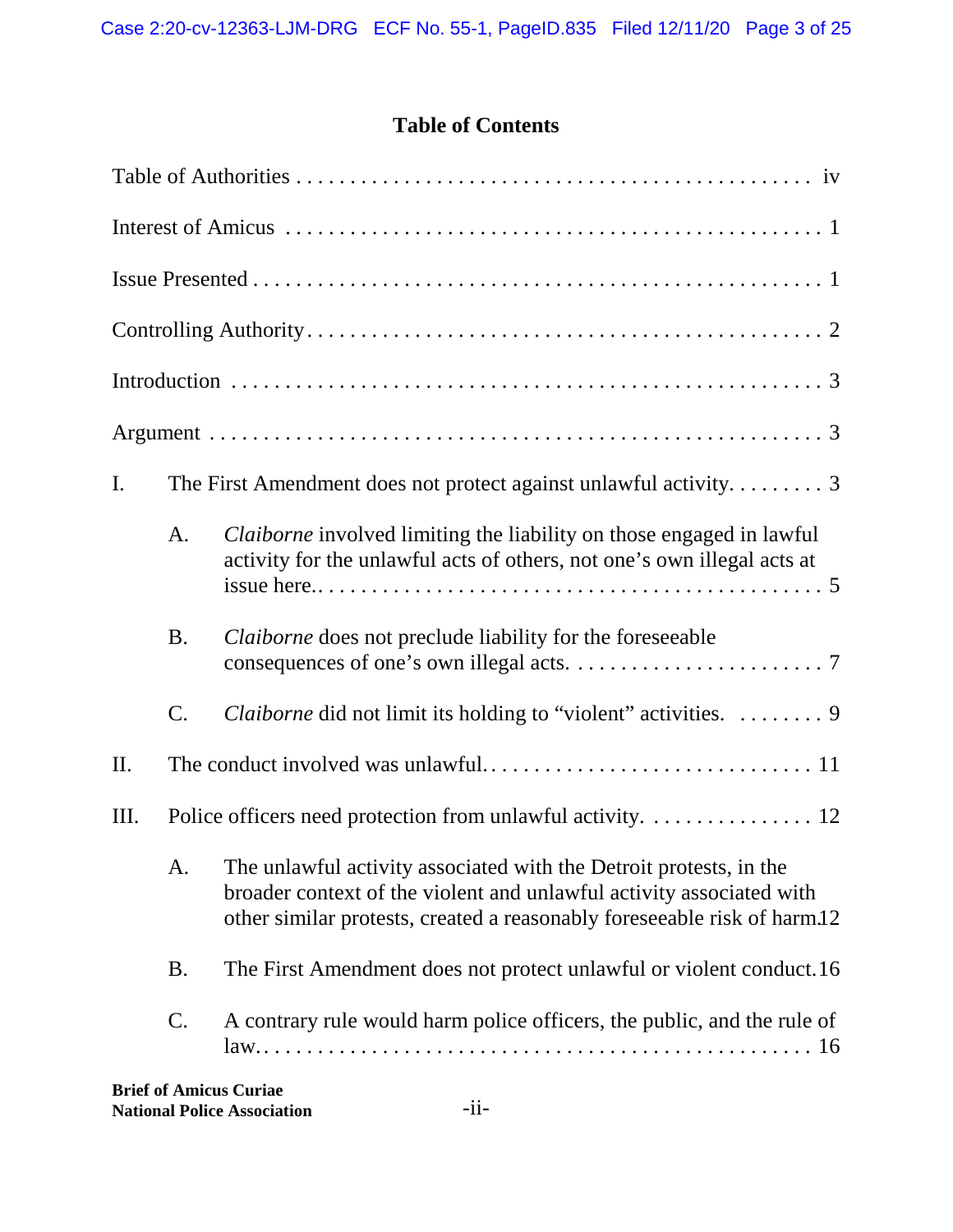## **Table of Contents**

| I.  |                 |                                                                                                                                                                                                                        |  |  |  |
|-----|-----------------|------------------------------------------------------------------------------------------------------------------------------------------------------------------------------------------------------------------------|--|--|--|
|     | A.              | Claiborne involved limiting the liability on those engaged in lawful<br>activity for the unlawful acts of others, not one's own illegal acts at                                                                        |  |  |  |
|     | <b>B.</b>       | <i>Claiborne</i> does not preclude liability for the foreseeable                                                                                                                                                       |  |  |  |
|     | $\mathcal{C}$ . | <i>Claiborne</i> did not limit its holding to "violent" activities.  9                                                                                                                                                 |  |  |  |
| II. |                 |                                                                                                                                                                                                                        |  |  |  |
| Ш.  |                 | Police officers need protection from unlawful activity. 12                                                                                                                                                             |  |  |  |
|     | A.              | The unlawful activity associated with the Detroit protests, in the<br>broader context of the violent and unlawful activity associated with<br>other similar protests, created a reasonably foreseeable risk of harm.12 |  |  |  |
|     | <b>B.</b>       | The First Amendment does not protect unlawful or violent conduct.16                                                                                                                                                    |  |  |  |
|     | $\mathcal{C}$ . | A contrary rule would harm police officers, the public, and the rule of                                                                                                                                                |  |  |  |
|     |                 |                                                                                                                                                                                                                        |  |  |  |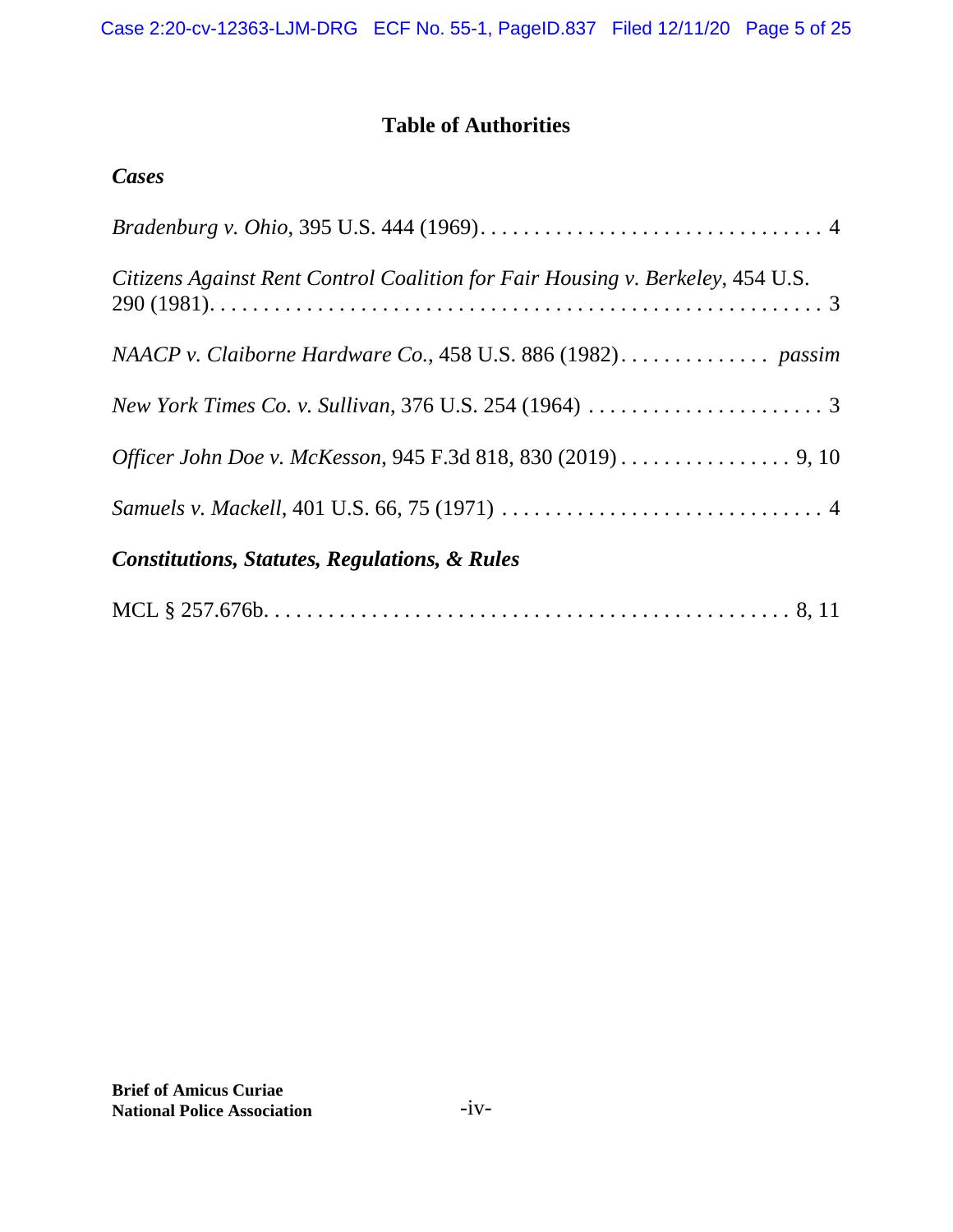## **Table of Authorities**

| Citizens Against Rent Control Coalition for Fair Housing v. Berkeley, 454 U.S. |
|--------------------------------------------------------------------------------|
|                                                                                |
|                                                                                |
| Officer John Doe v. McKesson, 945 F.3d 818, 830 (2019) 9, 10                   |
|                                                                                |
| <b>Constitutions, Statutes, Regulations, &amp; Rules</b>                       |
|                                                                                |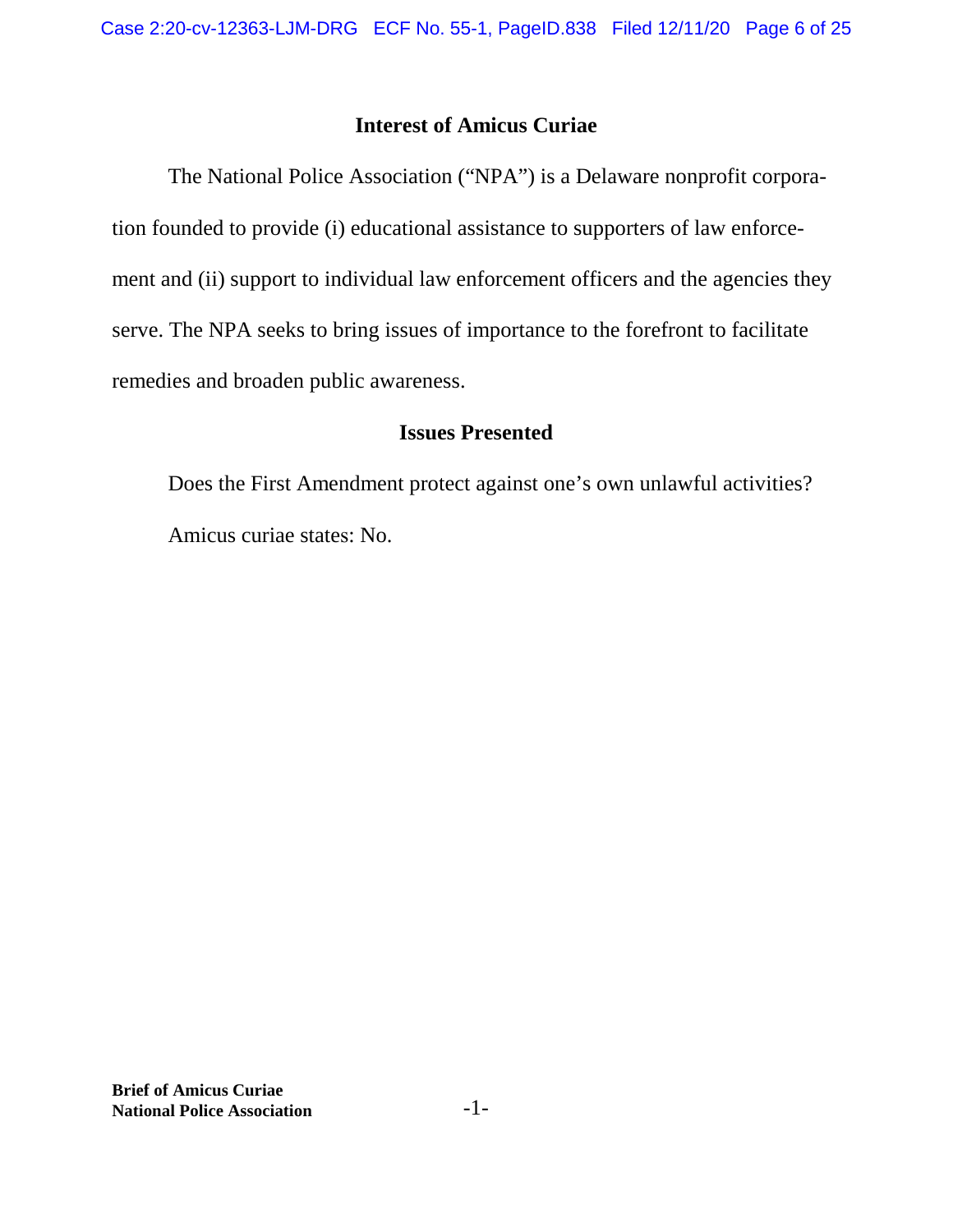## **Interest of Amicus Curiae**

The National Police Association ("NPA") is a Delaware nonprofit corporation founded to provide (i) educational assistance to supporters of law enforcement and (ii) support to individual law enforcement officers and the agencies they serve. The NPA seeks to bring issues of importance to the forefront to facilitate remedies and broaden public awareness.

## **Issues Presented**

Does the First Amendment protect against one's own unlawful activities? Amicus curiae states: No.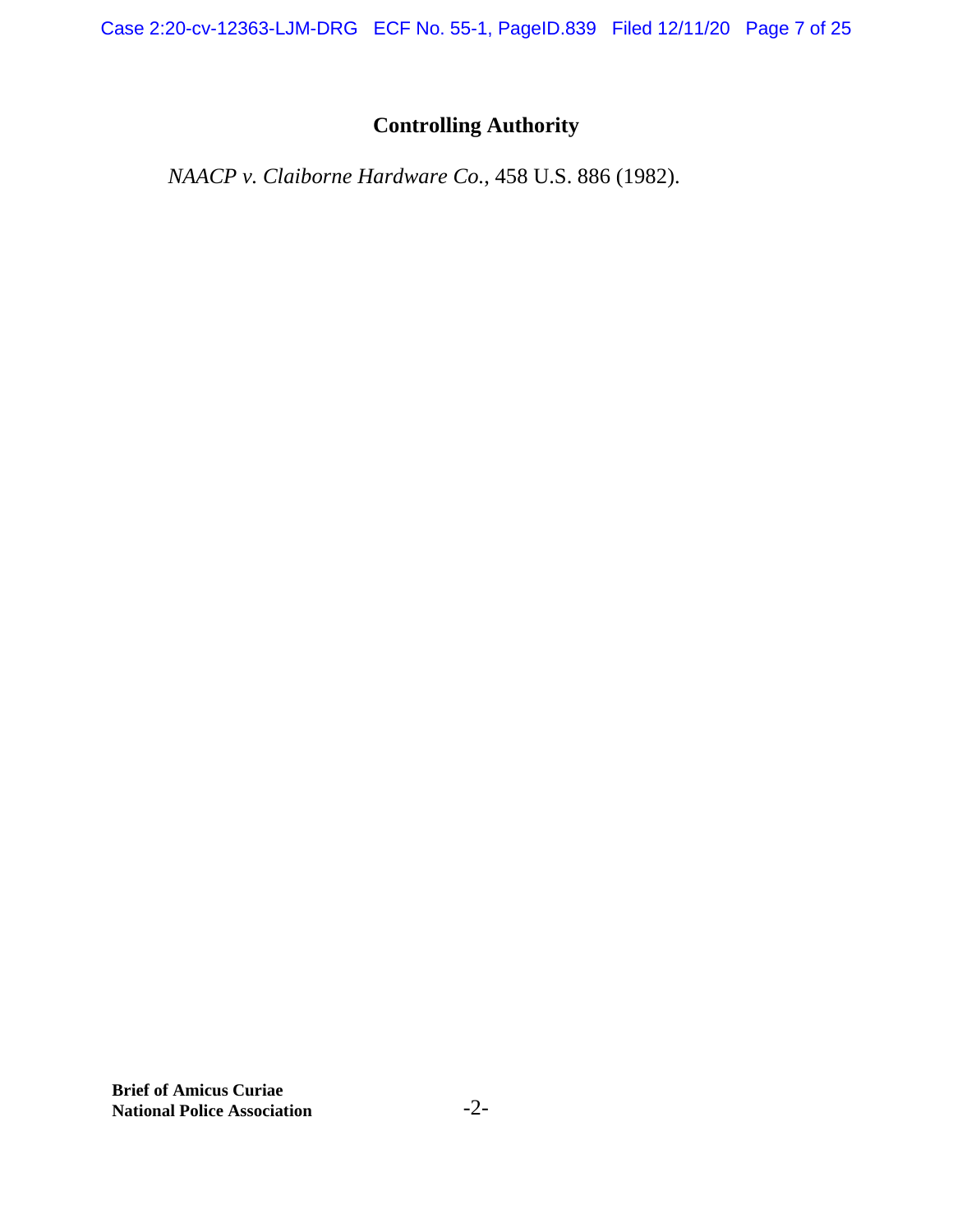Case 2:20-cv-12363-LJM-DRG ECF No. 55-1, PageID.839 Filed 12/11/20 Page 7 of 25

# **Controlling Authority**

*NAACP v. Claiborne Hardware Co.*, 458 U.S. 886 (1982).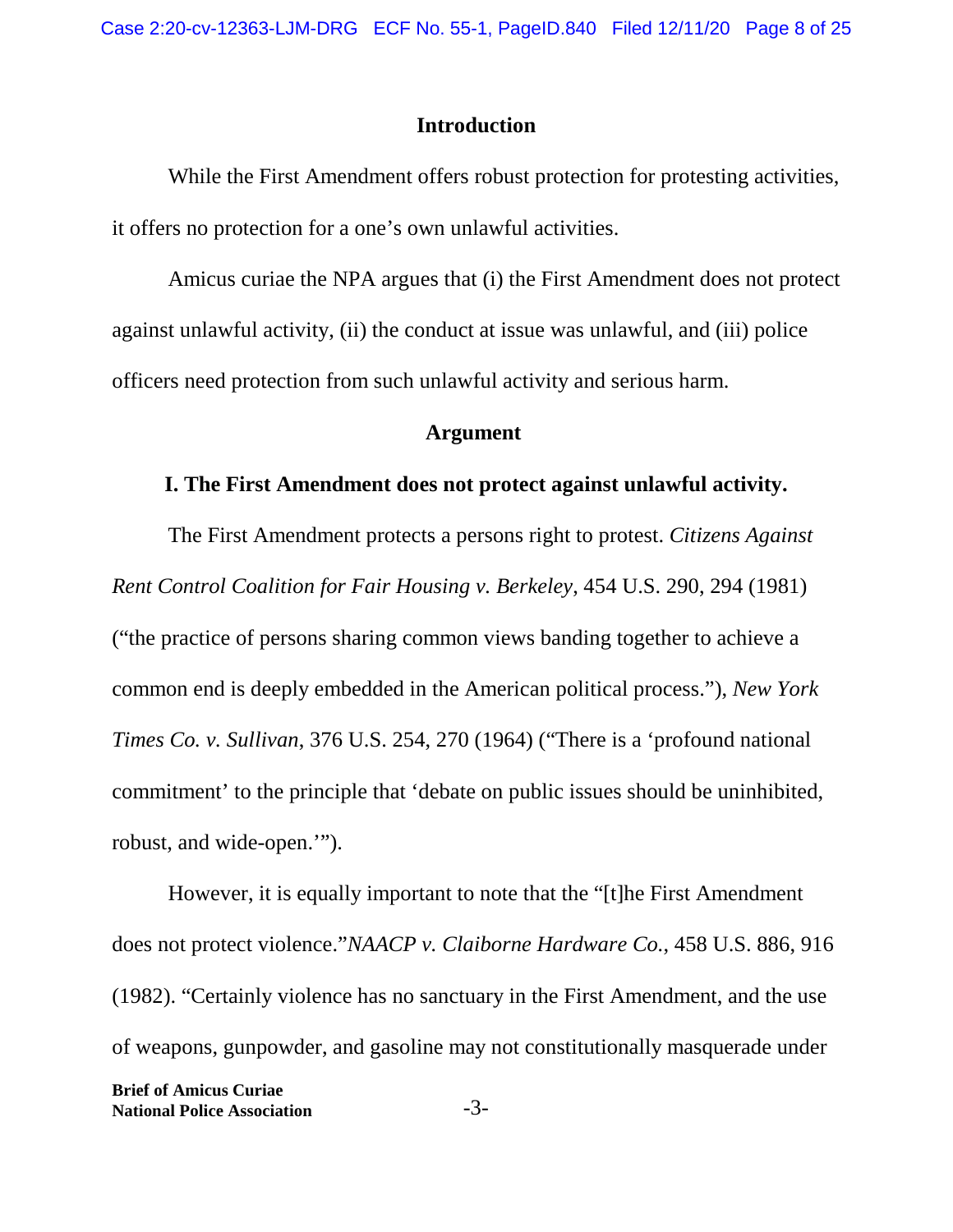#### **Introduction**

While the First Amendment offers robust protection for protesting activities, it offers no protection for a one's own unlawful activities.

Amicus curiae the NPA argues that (i) the First Amendment does not protect against unlawful activity, (ii) the conduct at issue was unlawful, and (iii) police officers need protection from such unlawful activity and serious harm.

#### **Argument**

#### **I. The First Amendment does not protect against unlawful activity.**

The First Amendment protects a persons right to protest. *Citizens Against Rent Control Coalition for Fair Housing v. Berkeley*, 454 U.S. 290, 294 (1981) ("the practice of persons sharing common views banding together to achieve a common end is deeply embedded in the American political process."), *New York Times Co. v. Sullivan*, 376 U.S. 254, 270 (1964) ("There is a 'profound national commitment' to the principle that 'debate on public issues should be uninhibited, robust, and wide-open.'").

However, it is equally important to note that the "[t]he First Amendment does not protect violence."*NAACP v. Claiborne Hardware Co.*, 458 U.S. 886, 916 (1982). "Certainly violence has no sanctuary in the First Amendment, and the use of weapons, gunpowder, and gasoline may not constitutionally masquerade under **Brief of Amicus Curiae National Police Association** -3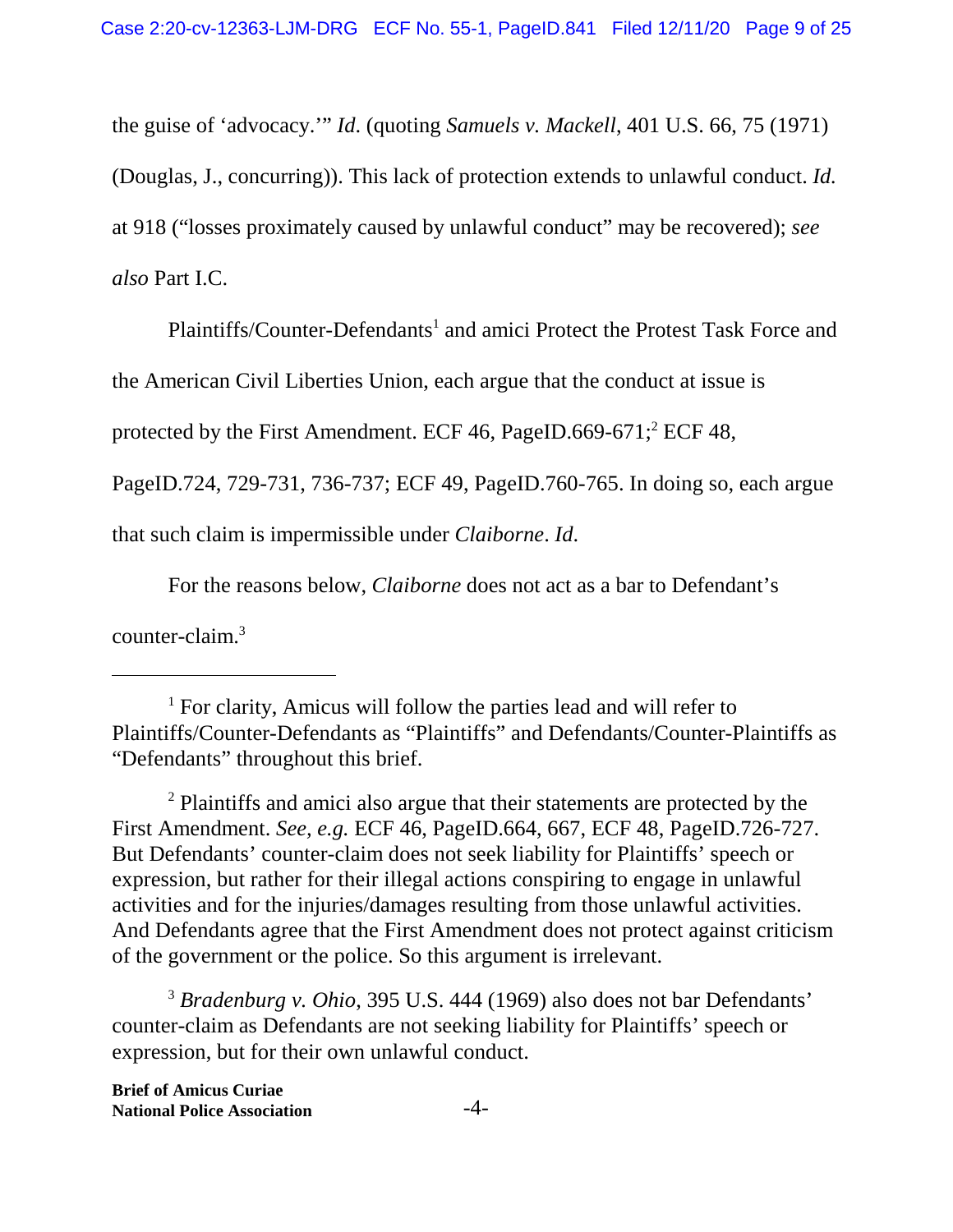the guise of 'advocacy.'" *Id*. (quoting *Samuels v. Mackell*, 401 U.S. 66, 75 (1971)

(Douglas, J., concurring)). This lack of protection extends to unlawful conduct. *Id.*

at 918 ("losses proximately caused by unlawful conduct" may be recovered); *see*

*also* Part I.C.

Plaintiffs/Counter-Defendants<sup>1</sup> and amici Protect the Protest Task Force and

the American Civil Liberties Union, each argue that the conduct at issue is

protected by the First Amendment. ECF 46, PageID.669-671; $^2$  ECF 48,

PageID.724, 729-731, 736-737; ECF 49, PageID.760-765. In doing so, each argue

that such claim is impermissible under *Claiborne*. *Id*.

For the reasons below, *Claiborne* does not act as a bar to Defendant's

counter-claim.<sup>3</sup>

<sup>2</sup> Plaintiffs and amici also argue that their statements are protected by the First Amendment. *See, e.g.* ECF 46, PageID.664, 667, ECF 48, PageID.726-727. But Defendants' counter-claim does not seek liability for Plaintiffs' speech or expression, but rather for their illegal actions conspiring to engage in unlawful activities and for the injuries/damages resulting from those unlawful activities. And Defendants agree that the First Amendment does not protect against criticism of the government or the police. So this argument is irrelevant.

<sup>3</sup> *Bradenburg v. Ohio*, 395 U.S. 444 (1969) also does not bar Defendants' counter-claim as Defendants are not seeking liability for Plaintiffs' speech or expression, but for their own unlawful conduct.

<sup>&</sup>lt;sup>1</sup> For clarity, Amicus will follow the parties lead and will refer to Plaintiffs/Counter-Defendants as "Plaintiffs" and Defendants/Counter-Plaintiffs as "Defendants" throughout this brief.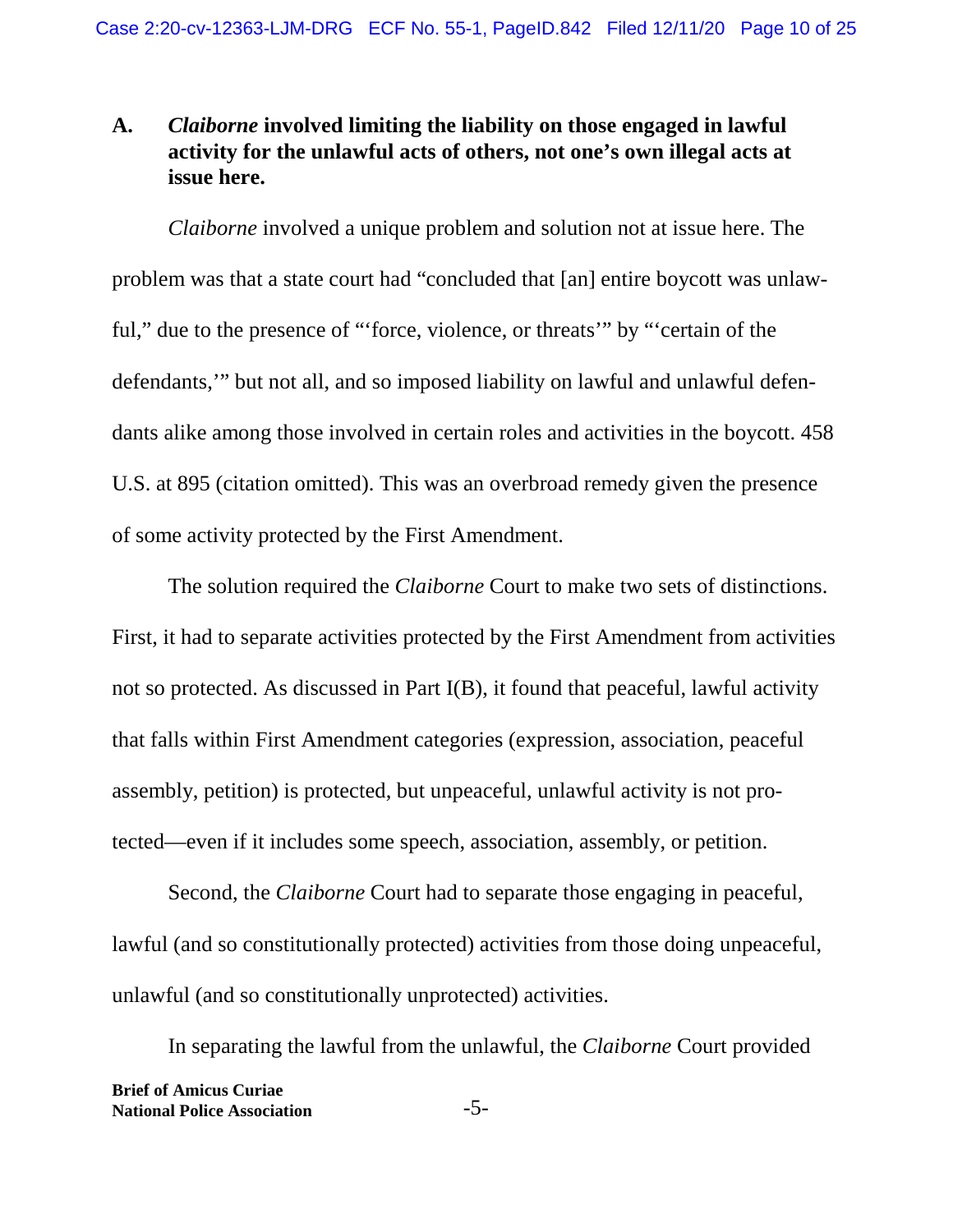## **A.** *Claiborne* **involved limiting the liability on those engaged in lawful activity for the unlawful acts of others, not one's own illegal acts at issue here.**

*Claiborne* involved a unique problem and solution not at issue here. The problem was that a state court had "concluded that [an] entire boycott was unlawful," due to the presence of "'force, violence, or threats'" by "'certain of the defendants,'" but not all, and so imposed liability on lawful and unlawful defendants alike among those involved in certain roles and activities in the boycott. 458 U.S. at 895 (citation omitted). This was an overbroad remedy given the presence of some activity protected by the First Amendment.

The solution required the *Claiborne* Court to make two sets of distinctions. First, it had to separate activities protected by the First Amendment from activities not so protected. As discussed in Part I(B), it found that peaceful, lawful activity that falls within First Amendment categories (expression, association, peaceful assembly, petition) is protected, but unpeaceful, unlawful activity is not protected—even if it includes some speech, association, assembly, or petition.

Second, the *Claiborne* Court had to separate those engaging in peaceful, lawful (and so constitutionally protected) activities from those doing unpeaceful, unlawful (and so constitutionally unprotected) activities.

In separating the lawful from the unlawful, the *Claiborne* Court provided **Brief of Amicus Curiae National Police Association** -5-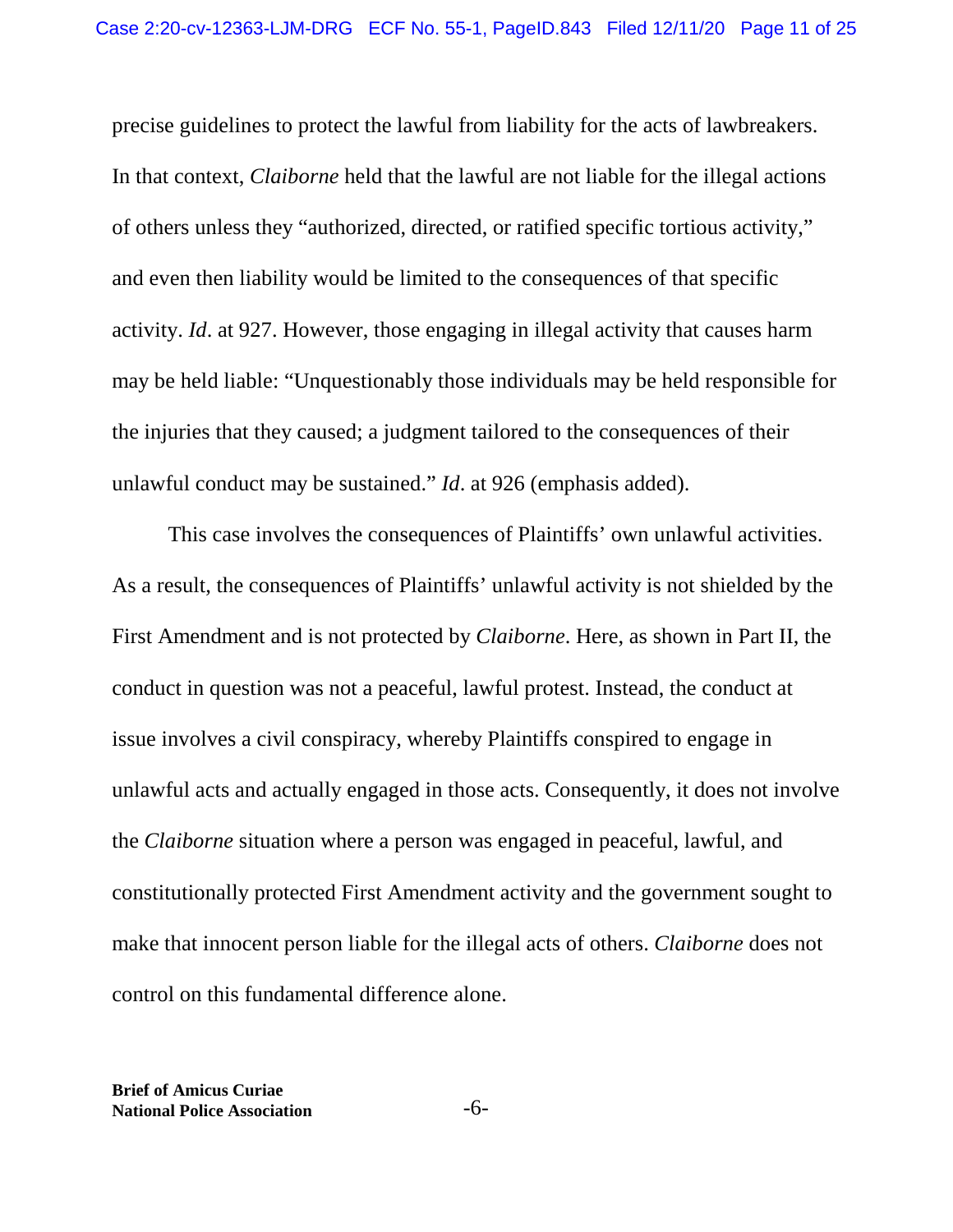precise guidelines to protect the lawful from liability for the acts of lawbreakers. In that context, *Claiborne* held that the lawful are not liable for the illegal actions of others unless they "authorized, directed, or ratified specific tortious activity," and even then liability would be limited to the consequences of that specific activity. *Id*. at 927. However, those engaging in illegal activity that causes harm may be held liable: "Unquestionably those individuals may be held responsible for the injuries that they caused; a judgment tailored to the consequences of their unlawful conduct may be sustained." *Id*. at 926 (emphasis added).

This case involves the consequences of Plaintiffs' own unlawful activities. As a result, the consequences of Plaintiffs' unlawful activity is not shielded by the First Amendment and is not protected by *Claiborne*. Here, as shown in Part II, the conduct in question was not a peaceful, lawful protest. Instead, the conduct at issue involves a civil conspiracy, whereby Plaintiffs conspired to engage in unlawful acts and actually engaged in those acts. Consequently, it does not involve the *Claiborne* situation where a person was engaged in peaceful, lawful, and constitutionally protected First Amendment activity and the government sought to make that innocent person liable for the illegal acts of others. *Claiborne* does not control on this fundamental difference alone.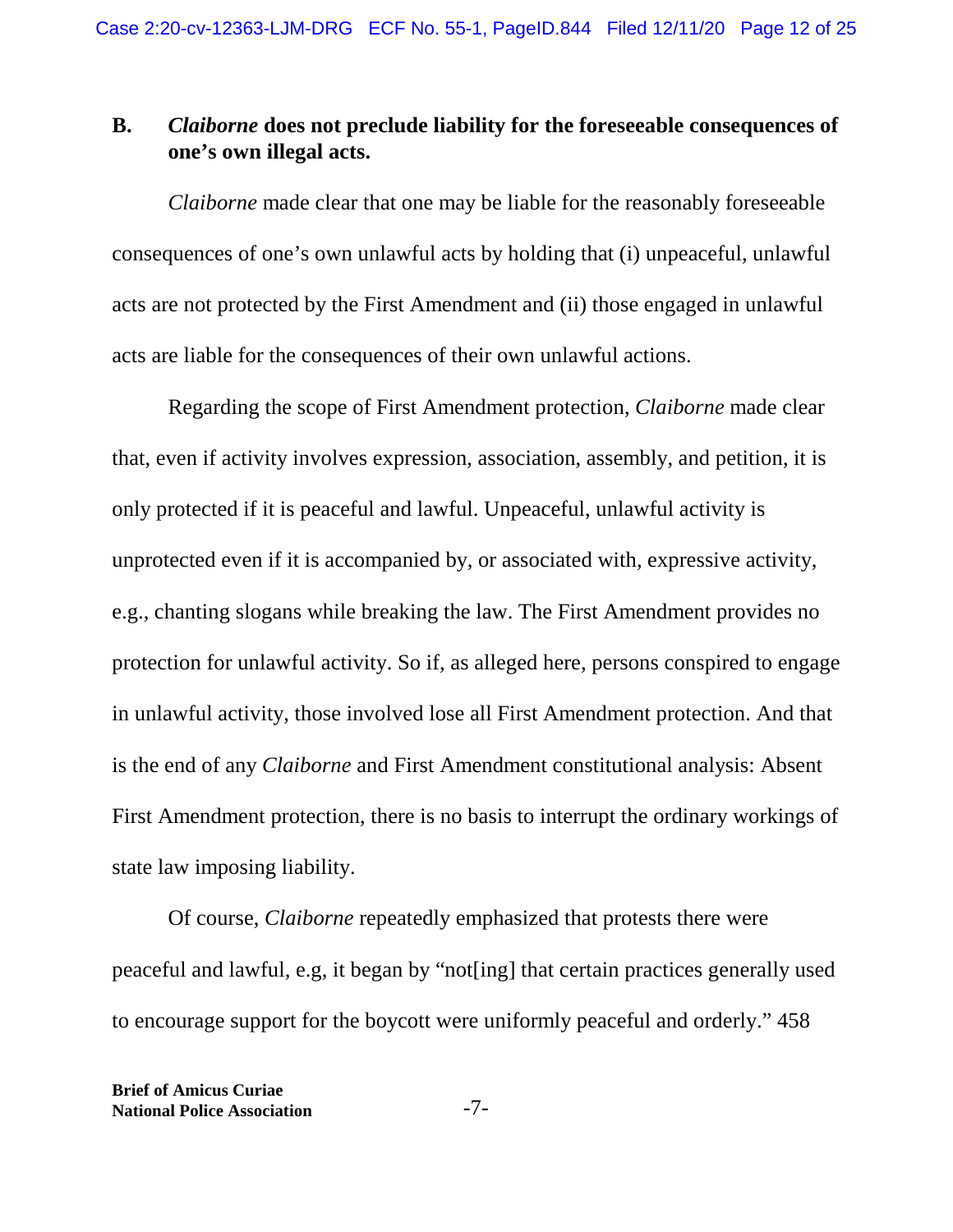## **B.** *Claiborne* **does not preclude liability for the foreseeable consequences of one's own illegal acts.**

*Claiborne* made clear that one may be liable for the reasonably foreseeable consequences of one's own unlawful acts by holding that (i) unpeaceful, unlawful acts are not protected by the First Amendment and (ii) those engaged in unlawful acts are liable for the consequences of their own unlawful actions.

Regarding the scope of First Amendment protection, *Claiborne* made clear that, even if activity involves expression, association, assembly, and petition, it is only protected if it is peaceful and lawful. Unpeaceful, unlawful activity is unprotected even if it is accompanied by, or associated with, expressive activity, e.g., chanting slogans while breaking the law. The First Amendment provides no protection for unlawful activity. So if, as alleged here, persons conspired to engage in unlawful activity, those involved lose all First Amendment protection. And that is the end of any *Claiborne* and First Amendment constitutional analysis: Absent First Amendment protection, there is no basis to interrupt the ordinary workings of state law imposing liability.

Of course, *Claiborne* repeatedly emphasized that protests there were peaceful and lawful, e.g, it began by "not[ing] that certain practices generally used to encourage support for the boycott were uniformly peaceful and orderly." 458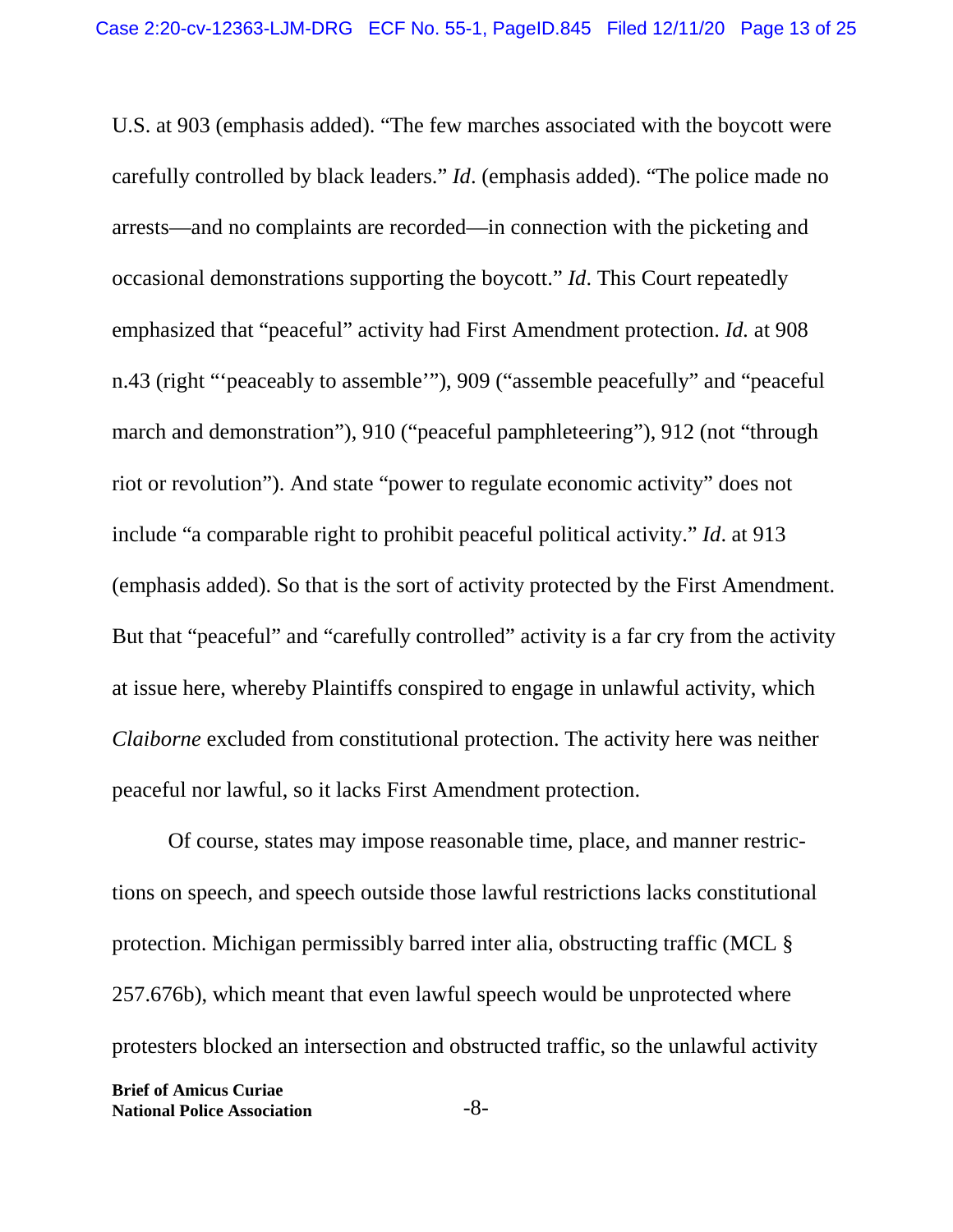U.S. at 903 (emphasis added). "The few marches associated with the boycott were carefully controlled by black leaders." *Id*. (emphasis added). "The police made no arrests—and no complaints are recorded—in connection with the picketing and occasional demonstrations supporting the boycott." *Id*. This Court repeatedly emphasized that "peaceful" activity had First Amendment protection. *Id.* at 908 n.43 (right "'peaceably to assemble'"), 909 ("assemble peacefully" and "peaceful march and demonstration"), 910 ("peaceful pamphleteering"), 912 (not "through riot or revolution"). And state "power to regulate economic activity" does not include "a comparable right to prohibit peaceful political activity." *Id*. at 913 (emphasis added). So that is the sort of activity protected by the First Amendment. But that "peaceful" and "carefully controlled" activity is a far cry from the activity at issue here, whereby Plaintiffs conspired to engage in unlawful activity, which *Claiborne* excluded from constitutional protection. The activity here was neither peaceful nor lawful, so it lacks First Amendment protection.

Of course, states may impose reasonable time, place, and manner restrictions on speech, and speech outside those lawful restrictions lacks constitutional protection. Michigan permissibly barred inter alia, obstructing traffic (MCL § 257.676b), which meant that even lawful speech would be unprotected where protesters blocked an intersection and obstructed traffic, so the unlawful activity

**Brief of Amicus Curiae National Police Association** -8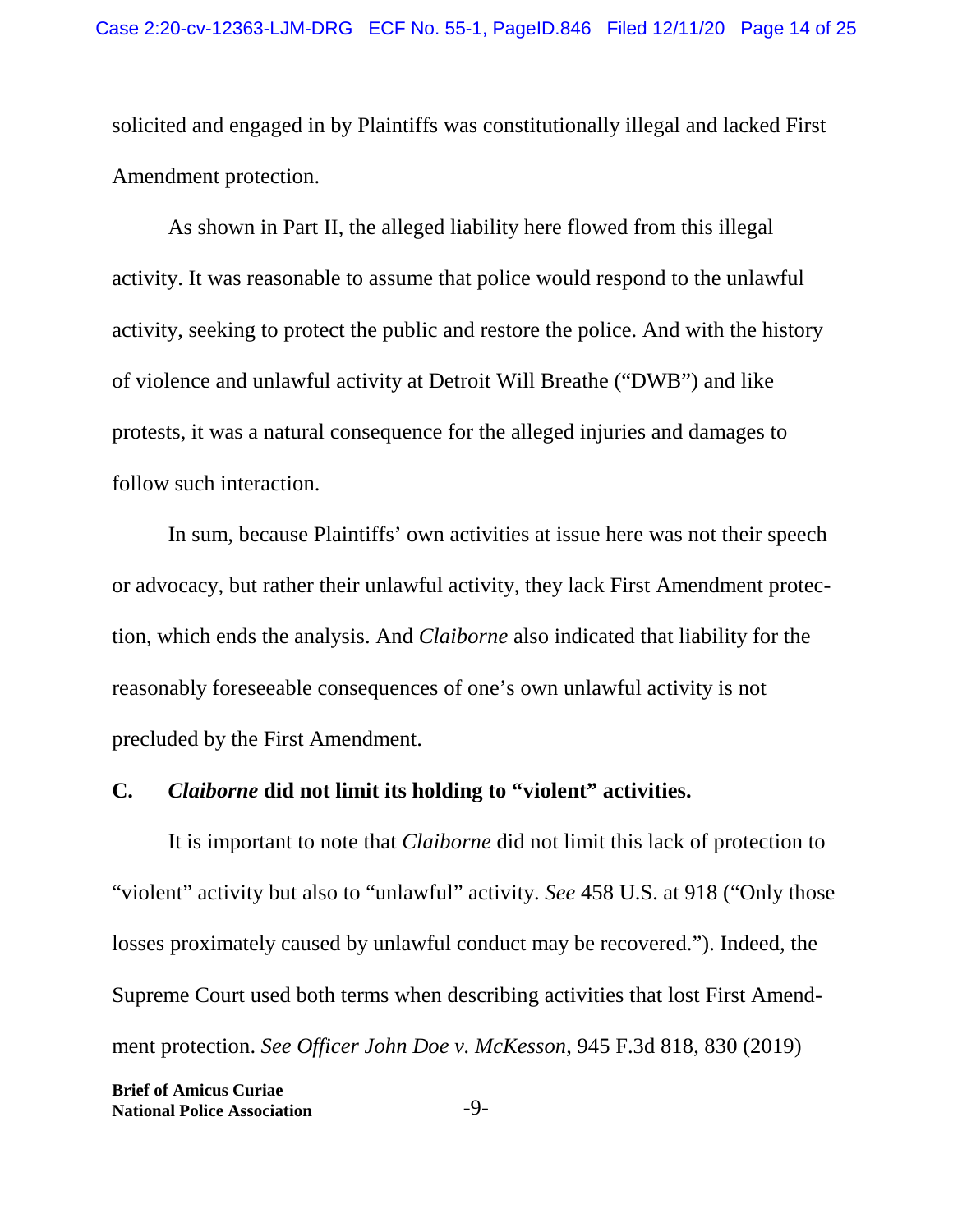solicited and engaged in by Plaintiffs was constitutionally illegal and lacked First Amendment protection.

As shown in Part II, the alleged liability here flowed from this illegal activity. It was reasonable to assume that police would respond to the unlawful activity, seeking to protect the public and restore the police. And with the history of violence and unlawful activity at Detroit Will Breathe ("DWB") and like protests, it was a natural consequence for the alleged injuries and damages to follow such interaction.

In sum, because Plaintiffs' own activities at issue here was not their speech or advocacy, but rather their unlawful activity, they lack First Amendment protection, which ends the analysis. And *Claiborne* also indicated that liability for the reasonably foreseeable consequences of one's own unlawful activity is not precluded by the First Amendment.

#### **C.** *Claiborne* **did not limit its holding to "violent" activities.**

It is important to note that *Claiborne* did not limit this lack of protection to "violent" activity but also to "unlawful" activity. *See* 458 U.S. at 918 ("Only those losses proximately caused by unlawful conduct may be recovered."). Indeed, the Supreme Court used both terms when describing activities that lost First Amendment protection. *See Officer John Doe v. McKesson*, 945 F.3d 818, 830 (2019)

**Brief of Amicus Curiae National Police Association** -9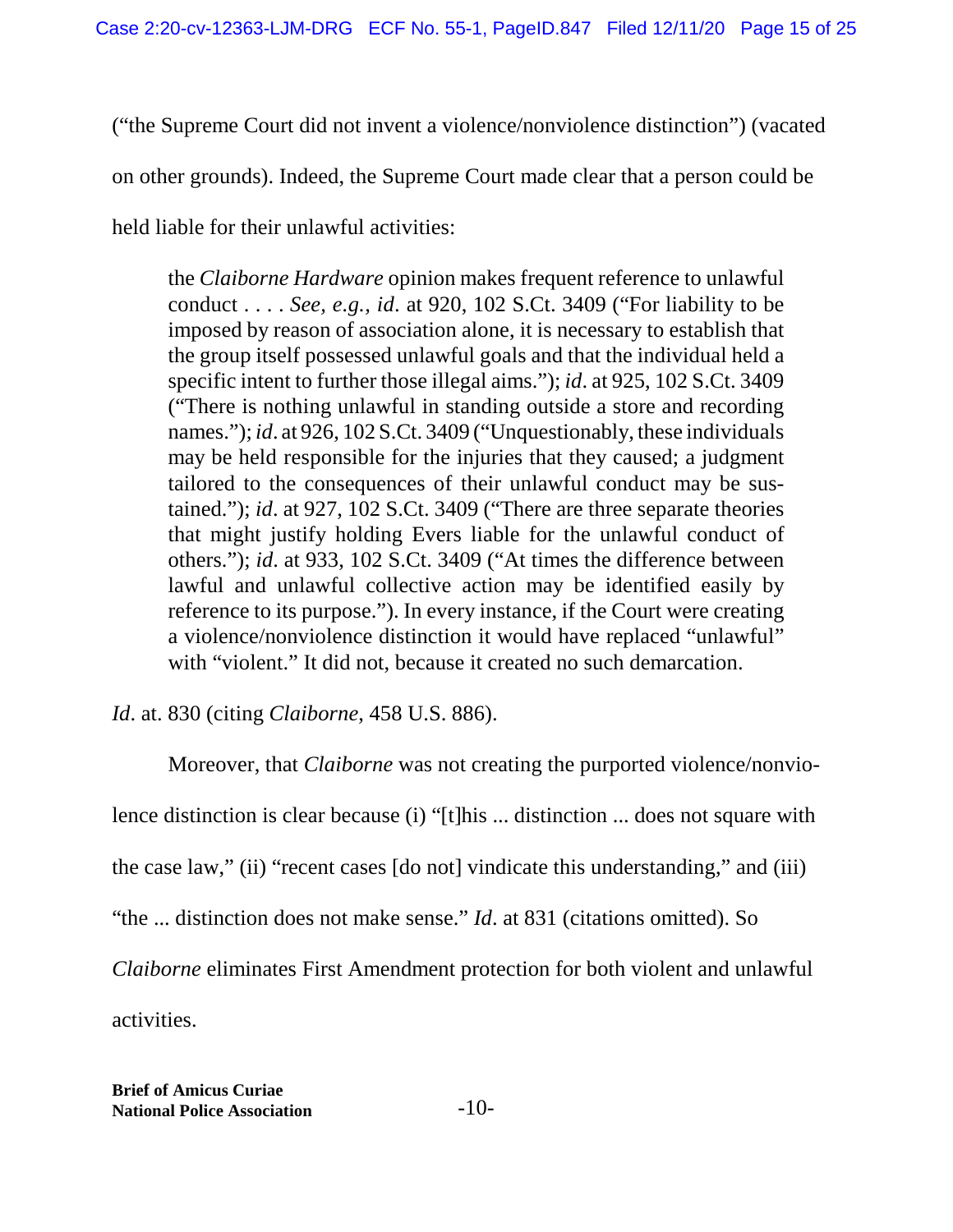("the Supreme Court did not invent a violence/nonviolence distinction") (vacated

on other grounds). Indeed, the Supreme Court made clear that a person could be

held liable for their unlawful activities:

the *Claiborne Hardware* opinion makes frequent reference to unlawful conduct . . . . *See, e.g., id*. at 920, 102 S.Ct. 3409 ("For liability to be imposed by reason of association alone, it is necessary to establish that the group itself possessed unlawful goals and that the individual held a specific intent to further those illegal aims."); *id*. at 925, 102 S.Ct. 3409 ("There is nothing unlawful in standing outside a store and recording names."); *id*. at 926, 102 S.Ct. 3409 ("Unquestionably, these individuals may be held responsible for the injuries that they caused; a judgment tailored to the consequences of their unlawful conduct may be sustained."); *id*. at 927, 102 S.Ct. 3409 ("There are three separate theories that might justify holding Evers liable for the unlawful conduct of others."); *id*. at 933, 102 S.Ct. 3409 ("At times the difference between lawful and unlawful collective action may be identified easily by reference to its purpose."). In every instance, if the Court were creating a violence/nonviolence distinction it would have replaced "unlawful" with "violent." It did not, because it created no such demarcation.

*Id*. at. 830 (citing *Claiborne*, 458 U.S. 886).

Moreover, that *Claiborne* was not creating the purported violence/nonviolence distinction is clear because (i) "[t]his ... distinction ... does not square with the case law," (ii) "recent cases [do not] vindicate this understanding," and (iii) "the ... distinction does not make sense." *Id*. at 831 (citations omitted). So *Claiborne* eliminates First Amendment protection for both violent and unlawful

activities.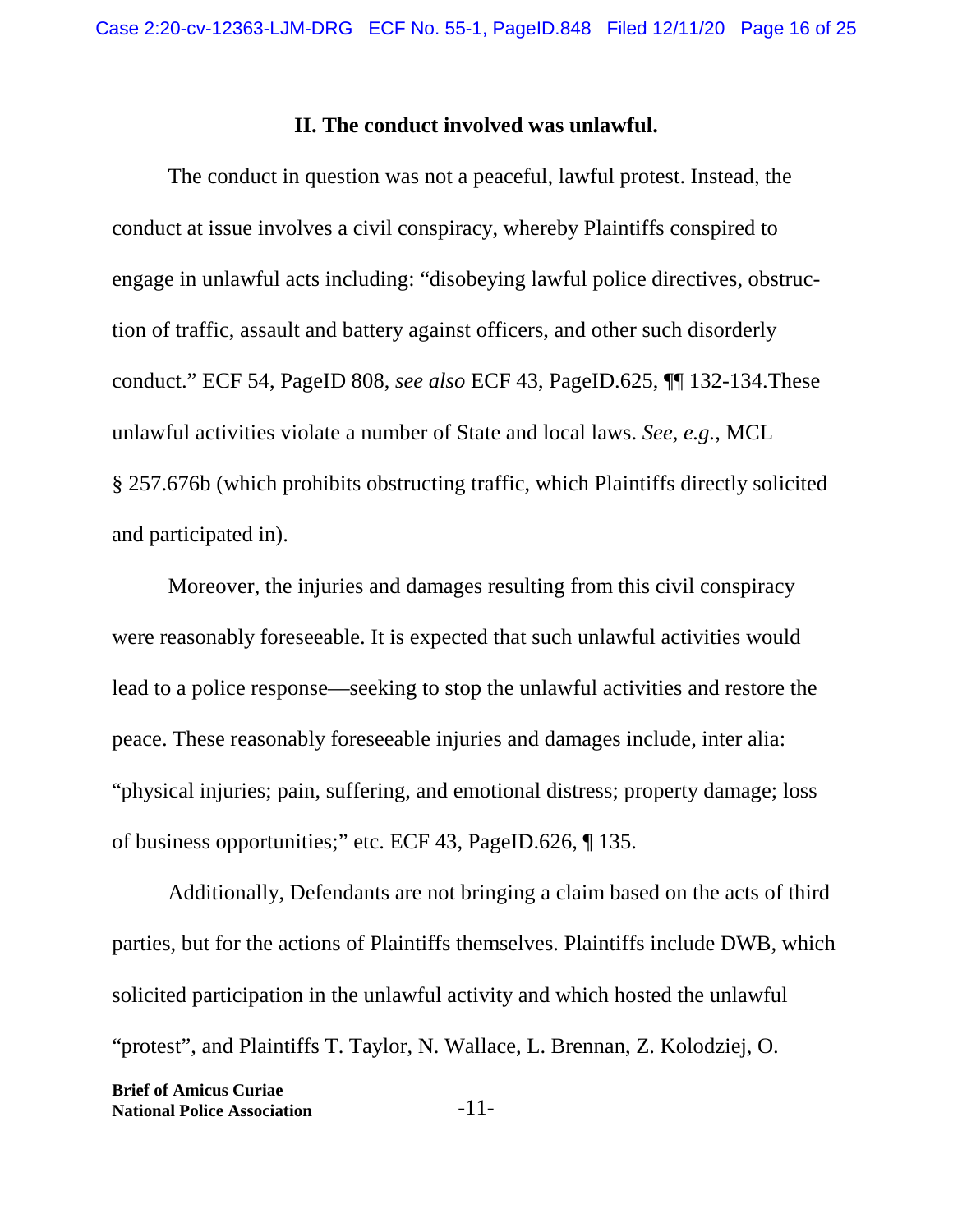#### **II. The conduct involved was unlawful.**

The conduct in question was not a peaceful, lawful protest. Instead, the conduct at issue involves a civil conspiracy, whereby Plaintiffs conspired to engage in unlawful acts including: "disobeying lawful police directives, obstruction of traffic, assault and battery against officers, and other such disorderly conduct." ECF 54, PageID 808, *see also* ECF 43, PageID.625, ¶¶ 132-134.These unlawful activities violate a number of State and local laws. *See, e.g.*, MCL § 257.676b (which prohibits obstructing traffic, which Plaintiffs directly solicited and participated in).

Moreover, the injuries and damages resulting from this civil conspiracy were reasonably foreseeable. It is expected that such unlawful activities would lead to a police response—seeking to stop the unlawful activities and restore the peace. These reasonably foreseeable injuries and damages include, inter alia: "physical injuries; pain, suffering, and emotional distress; property damage; loss of business opportunities;" etc. ECF 43, PageID.626, ¶ 135.

Additionally, Defendants are not bringing a claim based on the acts of third parties, but for the actions of Plaintiffs themselves. Plaintiffs include DWB, which solicited participation in the unlawful activity and which hosted the unlawful "protest", and Plaintiffs T. Taylor, N. Wallace, L. Brennan, Z. Kolodziej, O.

**Brief of Amicus Curiae National Police Association** -11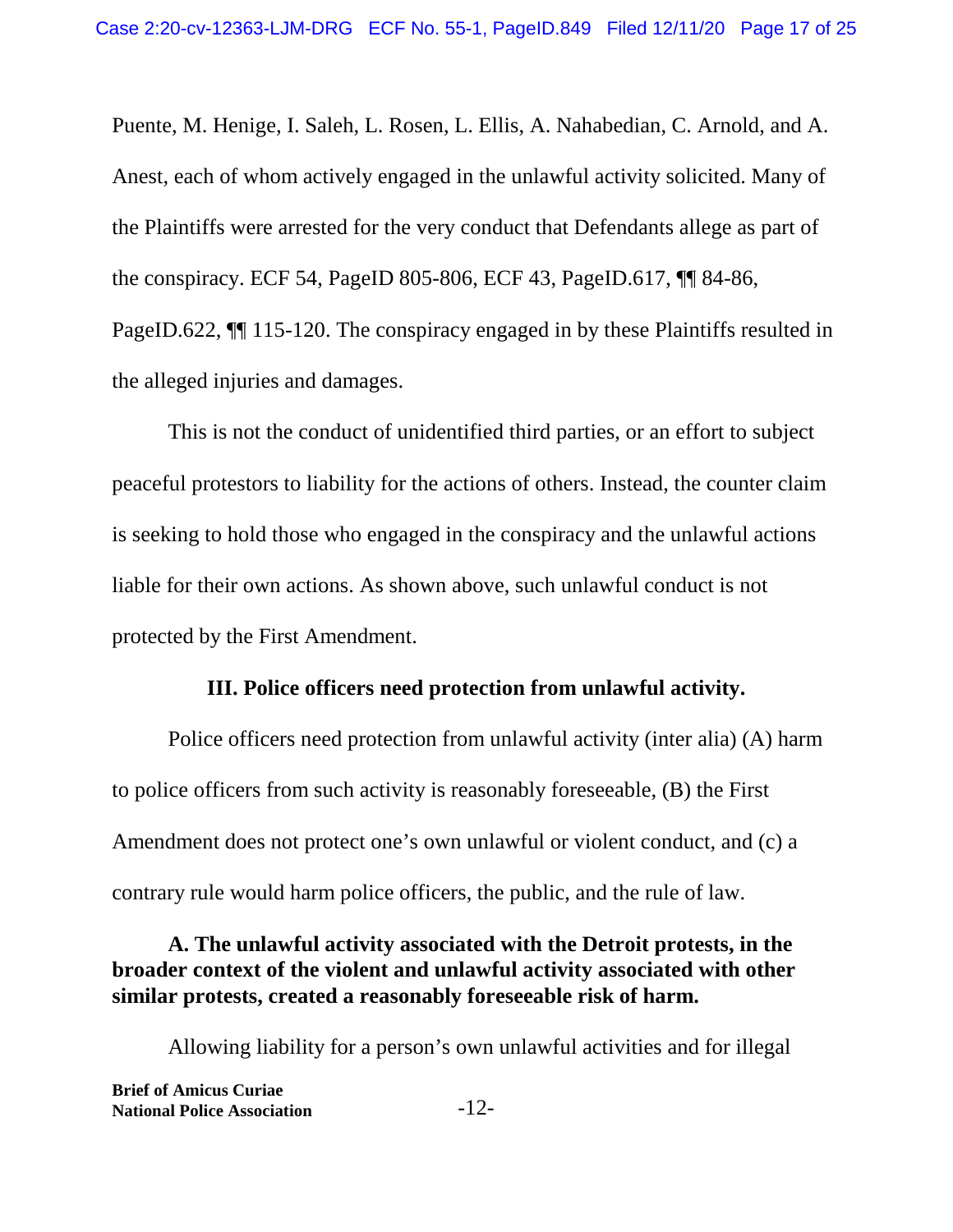Puente, M. Henige, I. Saleh, L. Rosen, L. Ellis, A. Nahabedian, C. Arnold, and A. Anest, each of whom actively engaged in the unlawful activity solicited. Many of the Plaintiffs were arrested for the very conduct that Defendants allege as part of the conspiracy. ECF 54, PageID 805-806, ECF 43, PageID.617, ¶¶ 84-86, PageID.622, ¶¶ 115-120. The conspiracy engaged in by these Plaintiffs resulted in the alleged injuries and damages.

This is not the conduct of unidentified third parties, or an effort to subject peaceful protestors to liability for the actions of others. Instead, the counter claim is seeking to hold those who engaged in the conspiracy and the unlawful actions liable for their own actions. As shown above, such unlawful conduct is not protected by the First Amendment.

#### **III. Police officers need protection from unlawful activity.**

Police officers need protection from unlawful activity (inter alia) (A) harm to police officers from such activity is reasonably foreseeable, (B) the First Amendment does not protect one's own unlawful or violent conduct, and (c) a contrary rule would harm police officers, the public, and the rule of law.

#### **A. The unlawful activity associated with the Detroit protests, in the broader context of the violent and unlawful activity associated with other similar protests, created a reasonably foreseeable risk of harm.**

Allowing liability for a person's own unlawful activities and for illegal

| <b>Brief of Amicus Curiae</b>      |        |
|------------------------------------|--------|
| <b>National Police Association</b> | $-12-$ |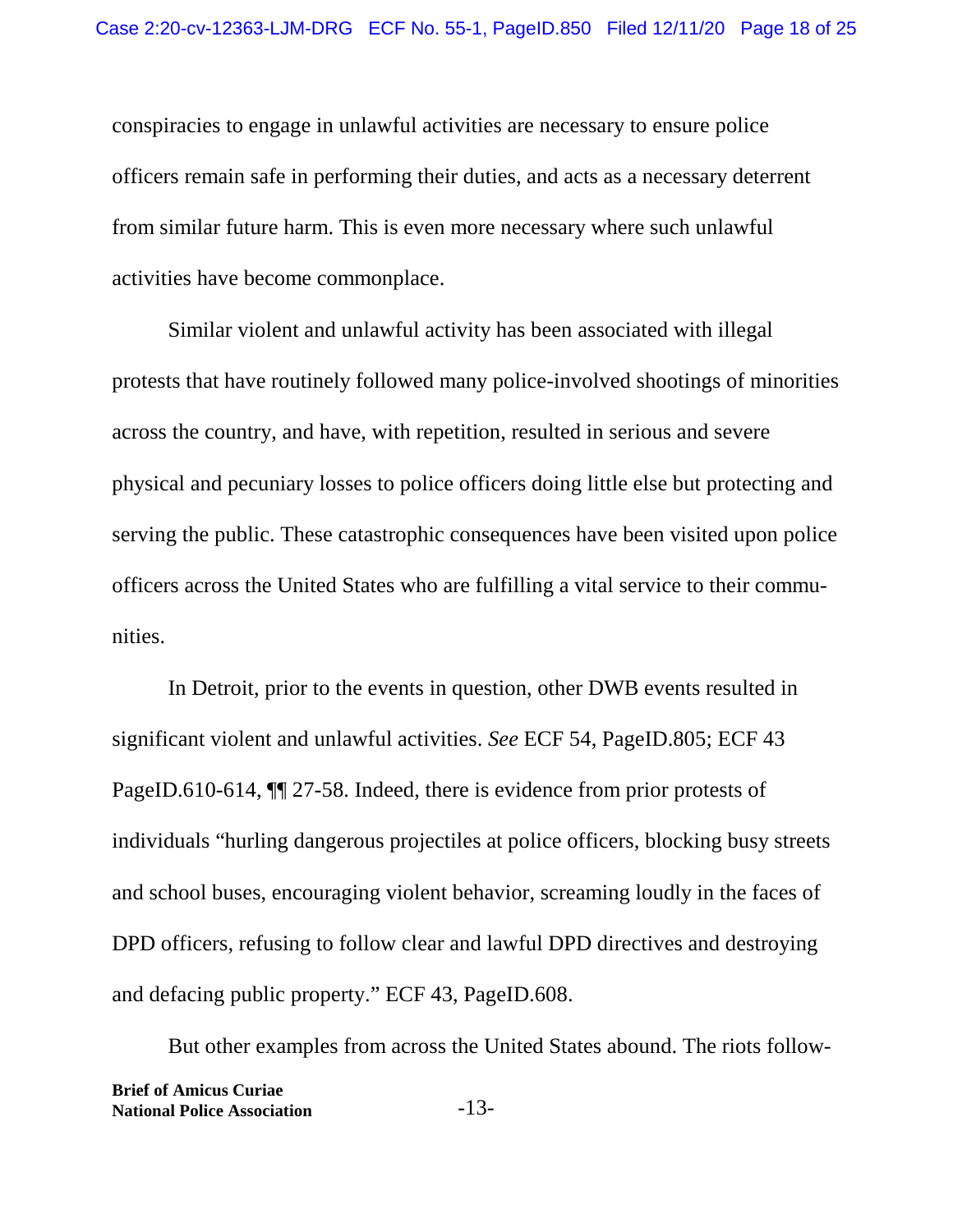conspiracies to engage in unlawful activities are necessary to ensure police officers remain safe in performing their duties, and acts as a necessary deterrent from similar future harm. This is even more necessary where such unlawful activities have become commonplace.

Similar violent and unlawful activity has been associated with illegal protests that have routinely followed many police-involved shootings of minorities across the country, and have, with repetition, resulted in serious and severe physical and pecuniary losses to police officers doing little else but protecting and serving the public. These catastrophic consequences have been visited upon police officers across the United States who are fulfilling a vital service to their communities.

In Detroit, prior to the events in question, other DWB events resulted in significant violent and unlawful activities. *See* ECF 54, PageID.805; ECF 43 PageID.610-614,  $\P$  27-58. Indeed, there is evidence from prior protests of individuals "hurling dangerous projectiles at police officers, blocking busy streets and school buses, encouraging violent behavior, screaming loudly in the faces of DPD officers, refusing to follow clear and lawful DPD directives and destroying and defacing public property." ECF 43, PageID.608.

But other examples from across the United States abound. The riots follow-**Brief of Amicus Curiae National Police Association** -13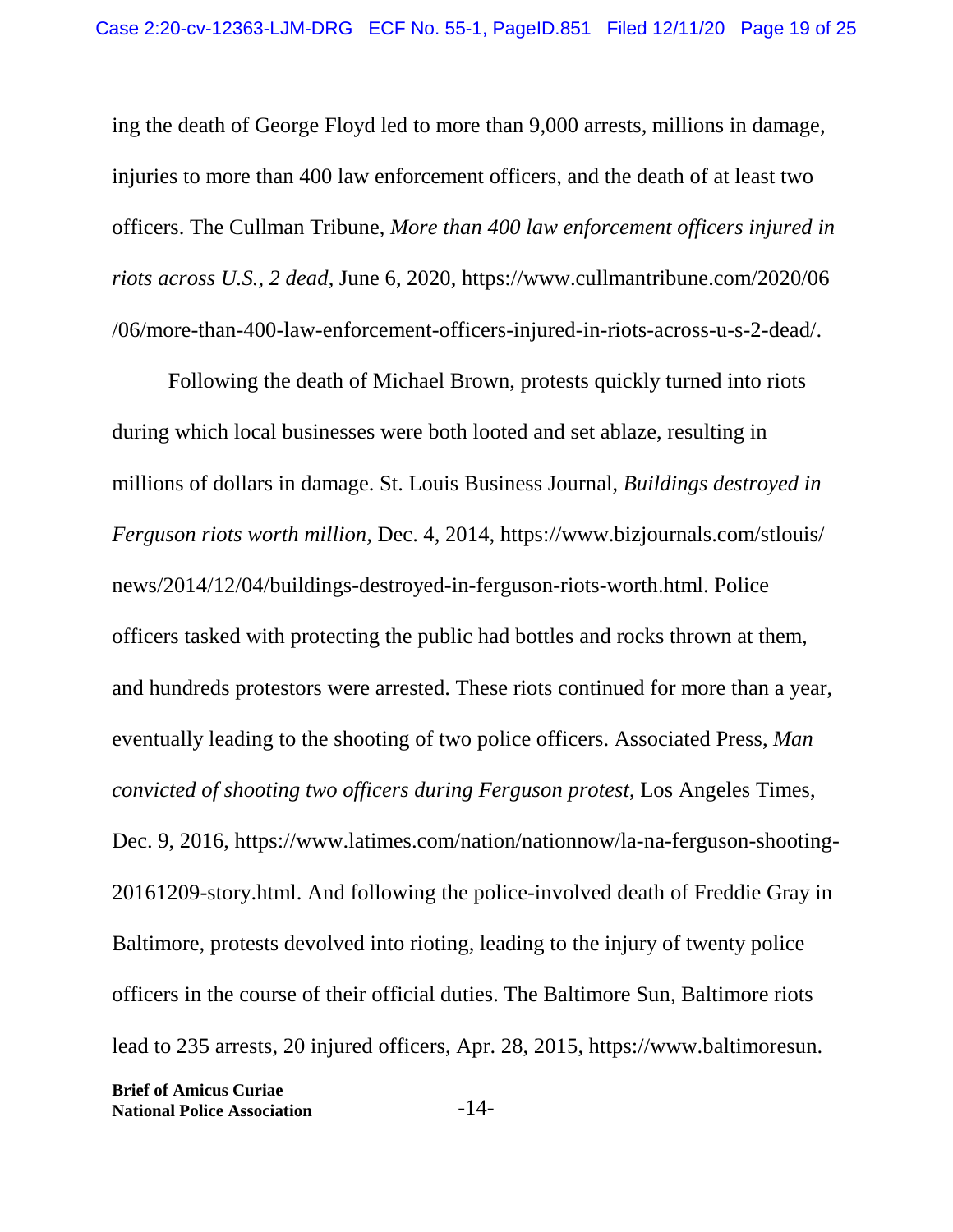ing the death of George Floyd led to more than 9,000 arrests, millions in damage, injuries to more than 400 law enforcement officers, and the death of at least two officers. The Cullman Tribune, *More than 400 law enforcement officers injured in riots across U.S., 2 dead*, June 6, 2020, https://www.cullmantribune.com/2020/06 /06/more-than-400-law-enforcement-officers-injured-in-riots-across-u-s-2-dead/.

Following the death of Michael Brown, protests quickly turned into riots during which local businesses were both looted and set ablaze, resulting in millions of dollars in damage. St. Louis Business Journal, *Buildings destroyed in Ferguson riots worth million,* Dec. 4, 2014, https://www.bizjournals.com/stlouis/ news/2014/12/04/buildings-destroyed-in-ferguson-riots-worth.html. Police officers tasked with protecting the public had bottles and rocks thrown at them, and hundreds protestors were arrested. These riots continued for more than a year, eventually leading to the shooting of two police officers. Associated Press, *Man convicted of shooting two officers during Ferguson protest*, Los Angeles Times, Dec. 9, 2016, https://www.latimes.com/nation/nationnow/la-na-ferguson-shooting-20161209-story.html. And following the police-involved death of Freddie Gray in Baltimore, protests devolved into rioting, leading to the injury of twenty police officers in the course of their official duties. The Baltimore Sun, Baltimore riots lead to 235 arrests, 20 injured officers, Apr. 28, 2015, https://www.baltimoresun.

**Brief of Amicus Curiae National Police Association** -14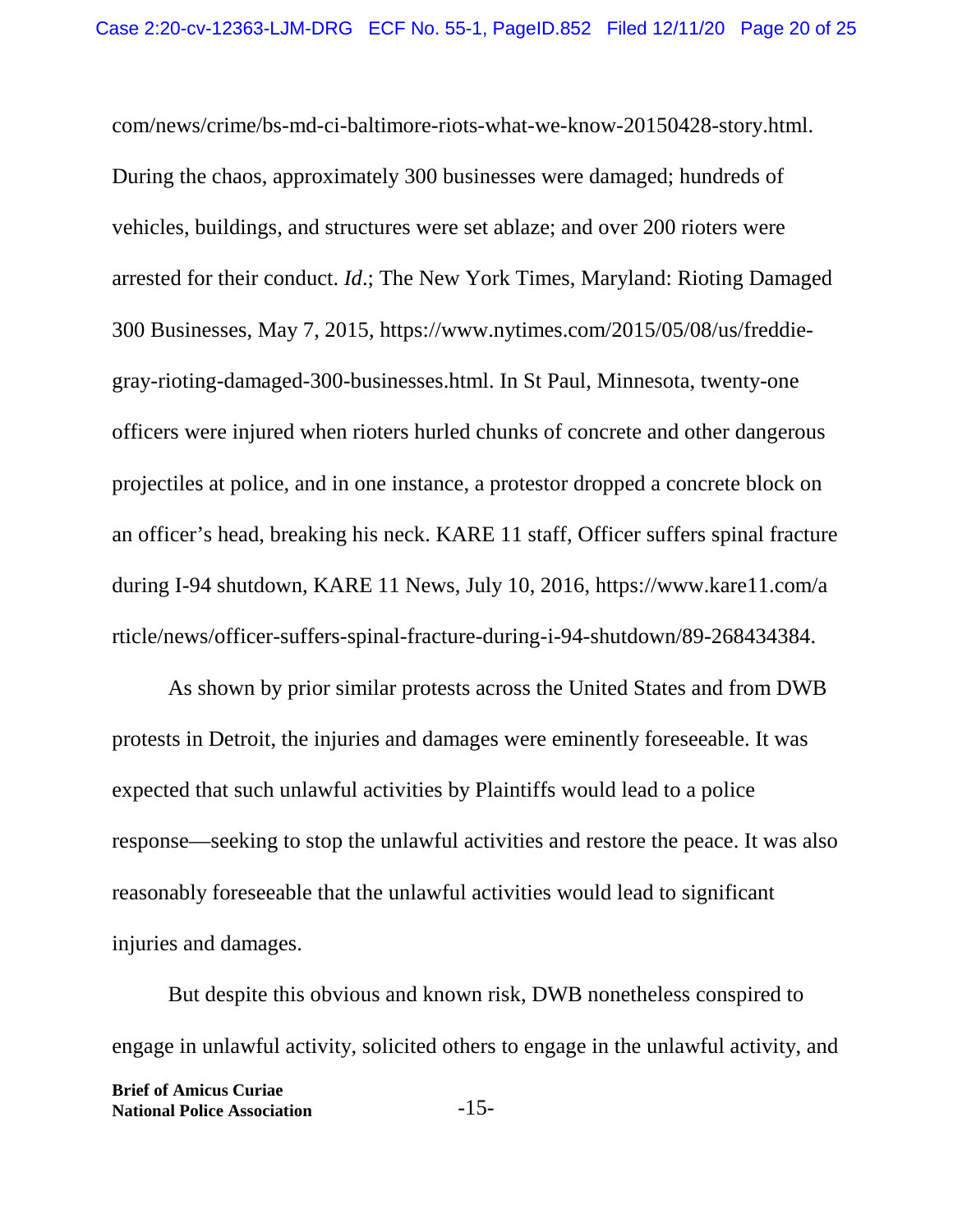com/news/crime/bs-md-ci-baltimore-riots-what-we-know-20150428-story.html. During the chaos, approximately 300 businesses were damaged; hundreds of vehicles, buildings, and structures were set ablaze; and over 200 rioters were arrested for their conduct. *Id*.; The New York Times, Maryland: Rioting Damaged 300 Businesses, May 7, 2015, https://www.nytimes.com/2015/05/08/us/freddiegray-rioting-damaged-300-businesses.html. In St Paul, Minnesota, twenty-one officers were injured when rioters hurled chunks of concrete and other dangerous projectiles at police, and in one instance, a protestor dropped a concrete block on an officer's head, breaking his neck. KARE 11 staff, Officer suffers spinal fracture during I-94 shutdown, KARE 11 News, July 10, 2016, https://www.kare11.com/a rticle/news/officer-suffers-spinal-fracture-during-i-94-shutdown/89-268434384.

As shown by prior similar protests across the United States and from DWB protests in Detroit, the injuries and damages were eminently foreseeable. It was expected that such unlawful activities by Plaintiffs would lead to a police response—seeking to stop the unlawful activities and restore the peace. It was also reasonably foreseeable that the unlawful activities would lead to significant injuries and damages.

But despite this obvious and known risk, DWB nonetheless conspired to engage in unlawful activity, solicited others to engage in the unlawful activity, and **Brief of Amicus Curiae National Police Association** -15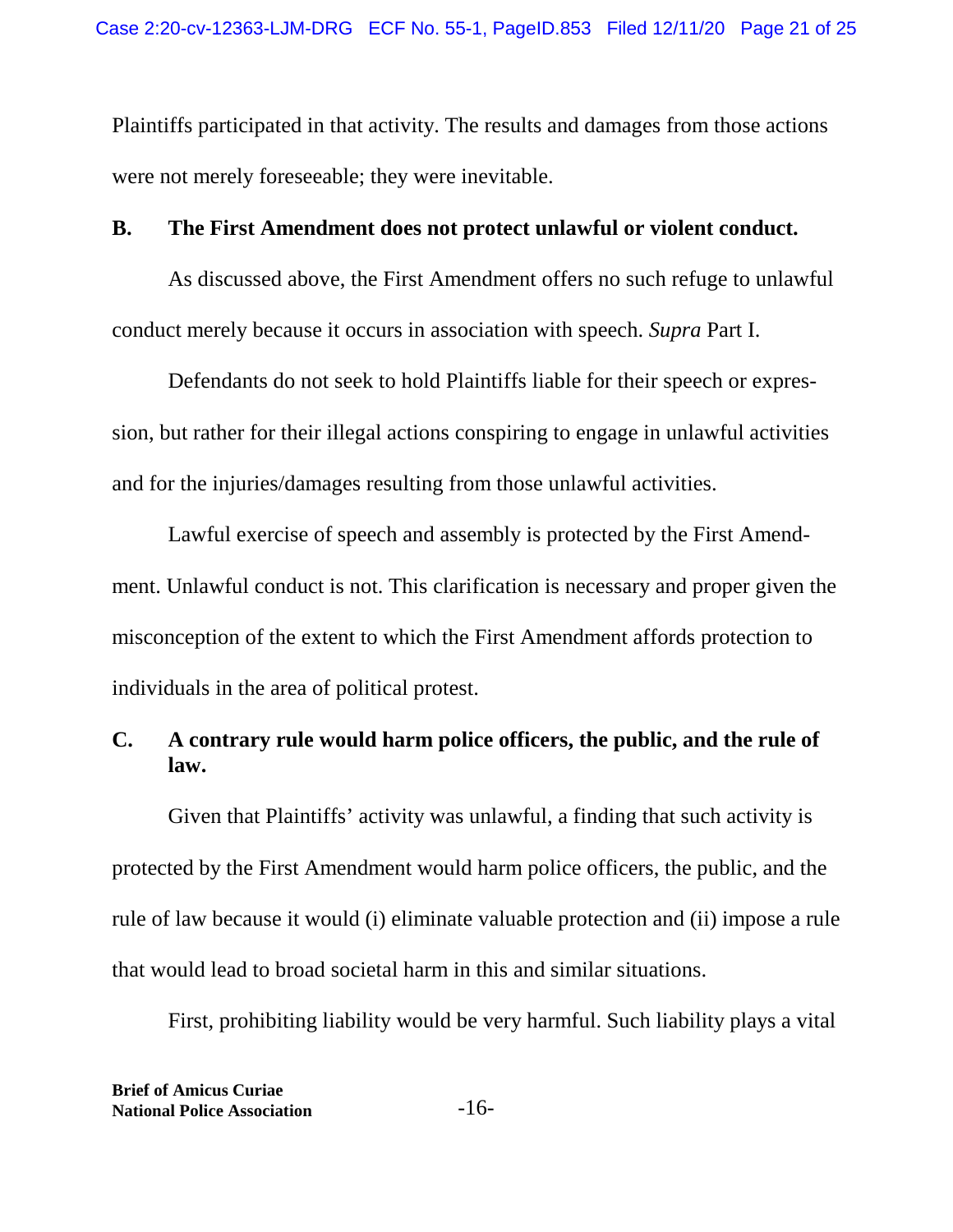Plaintiffs participated in that activity. The results and damages from those actions were not merely foreseeable; they were inevitable.

#### **B. The First Amendment does not protect unlawful or violent conduct.**

As discussed above, the First Amendment offers no such refuge to unlawful conduct merely because it occurs in association with speech. *Supra* Part I.

Defendants do not seek to hold Plaintiffs liable for their speech or expression, but rather for their illegal actions conspiring to engage in unlawful activities and for the injuries/damages resulting from those unlawful activities.

Lawful exercise of speech and assembly is protected by the First Amendment. Unlawful conduct is not. This clarification is necessary and proper given the misconception of the extent to which the First Amendment affords protection to individuals in the area of political protest.

## **C. A contrary rule would harm police officers, the public, and the rule of law.**

Given that Plaintiffs' activity was unlawful, a finding that such activity is protected by the First Amendment would harm police officers, the public, and the rule of law because it would (i) eliminate valuable protection and (ii) impose a rule that would lead to broad societal harm in this and similar situations.

First, prohibiting liability would be very harmful. Such liability plays a vital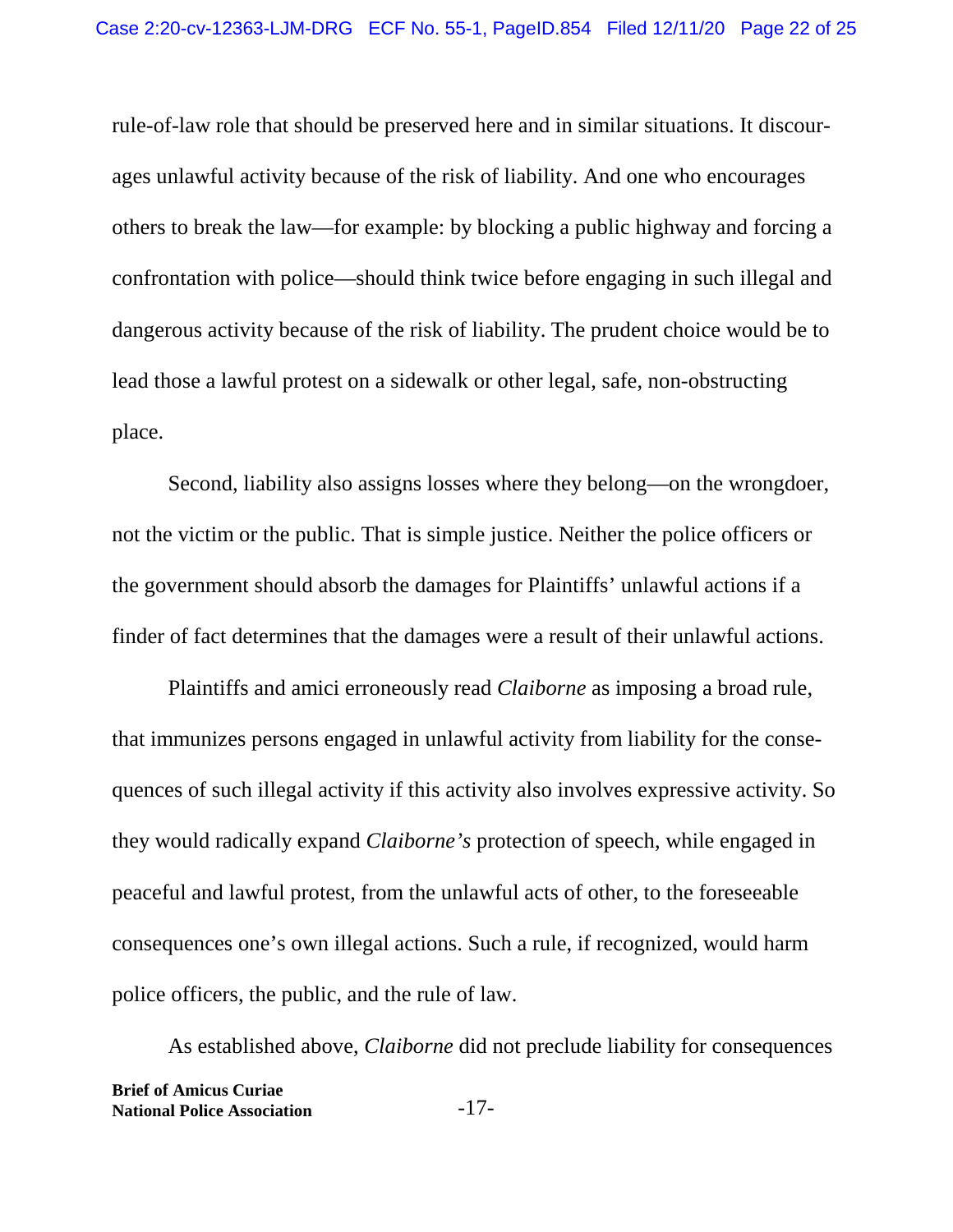rule-of-law role that should be preserved here and in similar situations. It discourages unlawful activity because of the risk of liability. And one who encourages others to break the law—for example: by blocking a public highway and forcing a confrontation with police—should think twice before engaging in such illegal and dangerous activity because of the risk of liability. The prudent choice would be to lead those a lawful protest on a sidewalk or other legal, safe, non-obstructing place.

Second, liability also assigns losses where they belong—on the wrongdoer, not the victim or the public. That is simple justice. Neither the police officers or the government should absorb the damages for Plaintiffs' unlawful actions if a finder of fact determines that the damages were a result of their unlawful actions.

Plaintiffs and amici erroneously read *Claiborne* as imposing a broad rule, that immunizes persons engaged in unlawful activity from liability for the consequences of such illegal activity if this activity also involves expressive activity. So they would radically expand *Claiborne's* protection of speech, while engaged in peaceful and lawful protest, from the unlawful acts of other, to the foreseeable consequences one's own illegal actions. Such a rule, if recognized, would harm police officers, the public, and the rule of law.

As established above, *Claiborne* did not preclude liability for consequences **Brief of Amicus Curiae National Police Association** -17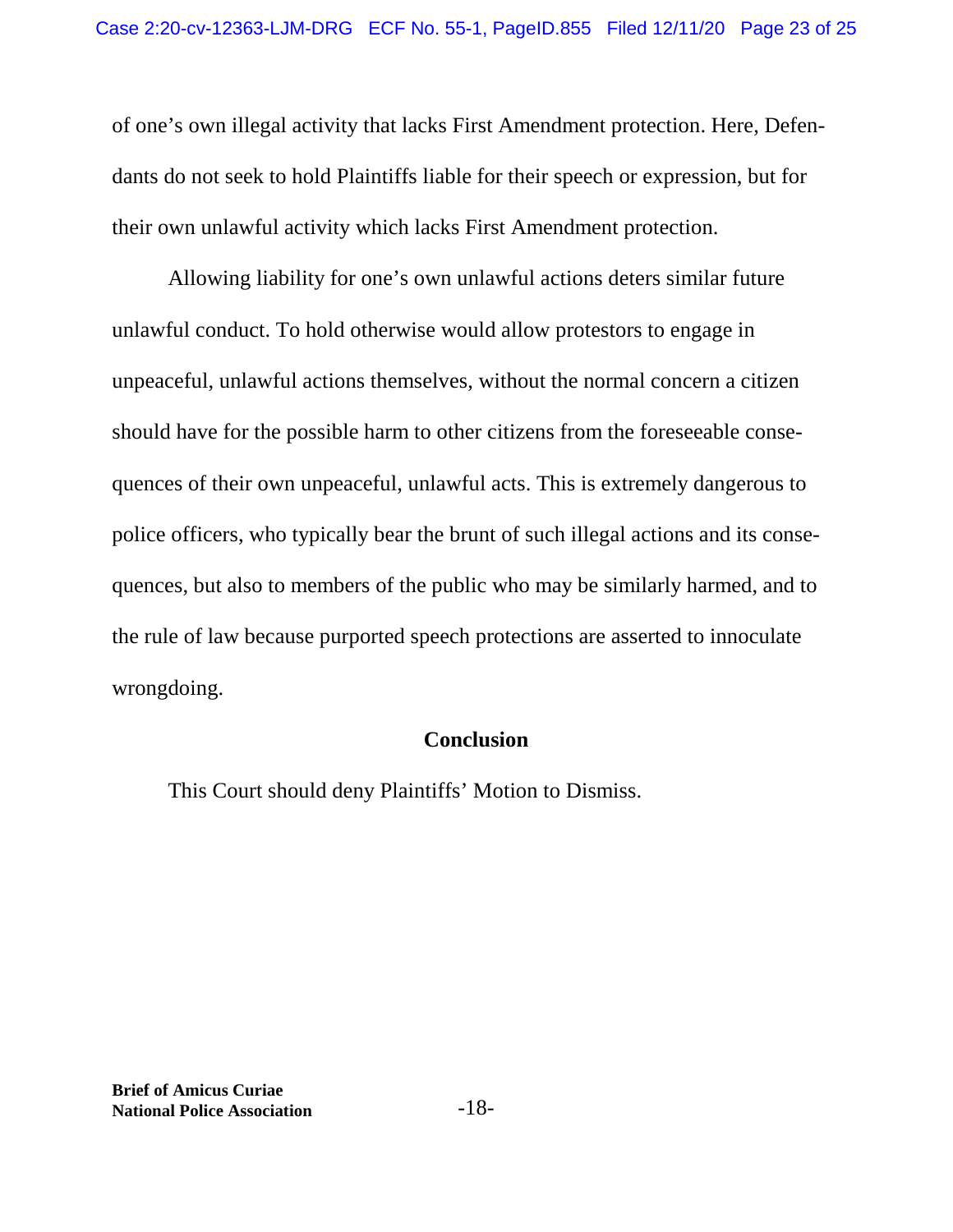of one's own illegal activity that lacks First Amendment protection. Here, Defendants do not seek to hold Plaintiffs liable for their speech or expression, but for their own unlawful activity which lacks First Amendment protection.

Allowing liability for one's own unlawful actions deters similar future unlawful conduct. To hold otherwise would allow protestors to engage in unpeaceful, unlawful actions themselves, without the normal concern a citizen should have for the possible harm to other citizens from the foreseeable consequences of their own unpeaceful, unlawful acts. This is extremely dangerous to police officers, who typically bear the brunt of such illegal actions and its consequences, but also to members of the public who may be similarly harmed, and to the rule of law because purported speech protections are asserted to innoculate wrongdoing.

## **Conclusion**

This Court should deny Plaintiffs' Motion to Dismiss.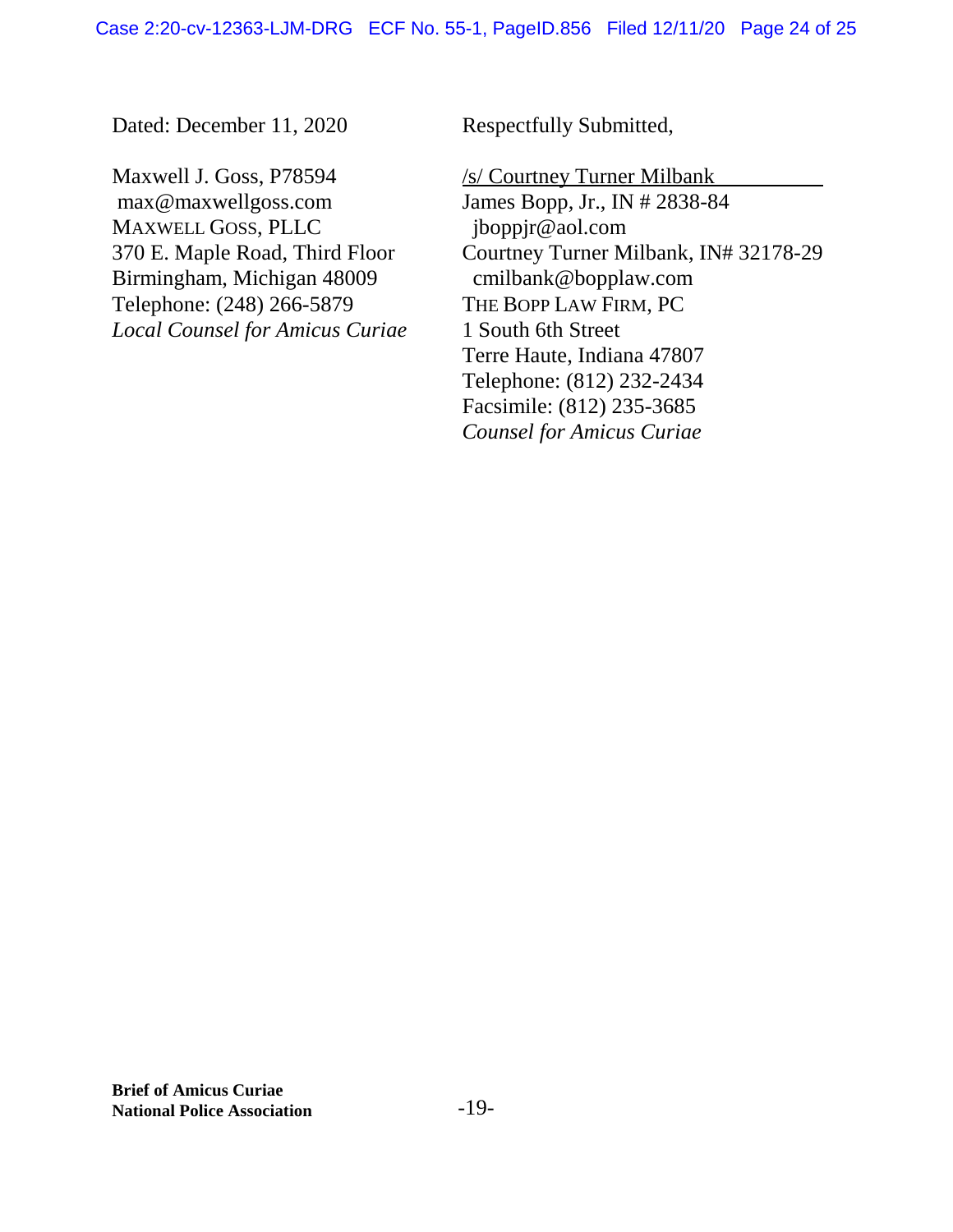Dated: December 11, 2020

Maxwell J. Goss, P78594 max@maxwellgoss.com MAXWELL GOSS, PLLC 370 E. Maple Road, Third Floor Birmingham, Michigan 48009 Telephone: (248) 266-5879 *Local Counsel for Amicus Curiae* Respectfully Submitted,

/s/ Courtney Turner Milbank

James Bopp, Jr., IN # 2838-84 jboppjr@aol.com Courtney Turner Milbank, IN# 32178-29 cmilbank@bopplaw.com THE BOPP LAW FIRM, PC 1 South 6th Street Terre Haute, Indiana 47807 Telephone: (812) 232-2434 Facsimile: (812) 235-3685 *Counsel for Amicus Curiae*